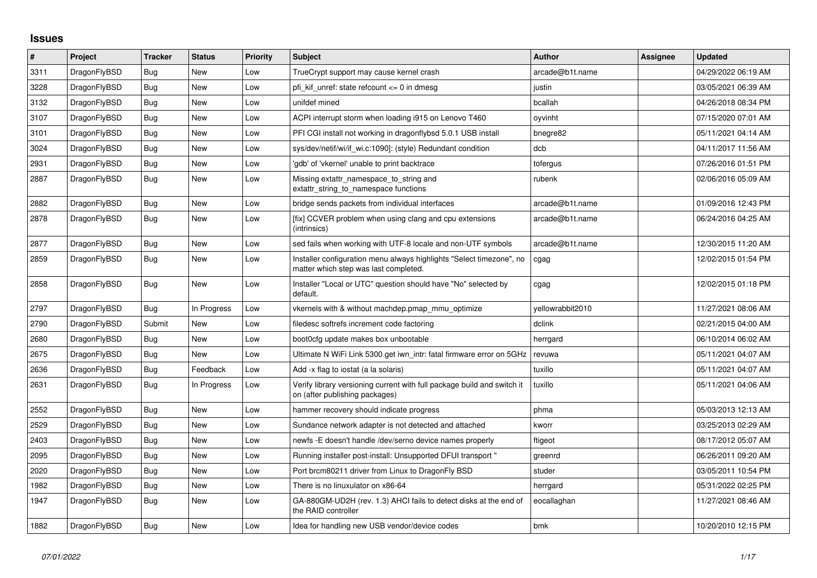## **Issues**

| $\#$ | Project      | <b>Tracker</b> | <b>Status</b> | <b>Priority</b> | <b>Subject</b>                                                                                                | <b>Author</b>    | <b>Assignee</b> | <b>Updated</b>      |
|------|--------------|----------------|---------------|-----------------|---------------------------------------------------------------------------------------------------------------|------------------|-----------------|---------------------|
| 3311 | DragonFlyBSD | <b>Bug</b>     | <b>New</b>    | Low             | TrueCrypt support may cause kernel crash                                                                      | arcade@b1t.name  |                 | 04/29/2022 06:19 AM |
| 3228 | DragonFlyBSD | Bug            | <b>New</b>    | Low             | pfi kif unref: state refcount $\leq 0$ in dmesg                                                               | justin           |                 | 03/05/2021 06:39 AM |
| 3132 | DragonFlyBSD | <b>Bug</b>     | <b>New</b>    | Low             | unifdef mined                                                                                                 | bcallah          |                 | 04/26/2018 08:34 PM |
| 3107 | DragonFlyBSD | <b>Bug</b>     | <b>New</b>    | Low             | ACPI interrupt storm when loading i915 on Lenovo T460                                                         | oyvinht          |                 | 07/15/2020 07:01 AM |
| 3101 | DragonFlyBSD | Bug            | <b>New</b>    | Low             | PFI CGI install not working in dragonflybsd 5.0.1 USB install                                                 | bnegre82         |                 | 05/11/2021 04:14 AM |
| 3024 | DragonFlyBSD | Bug            | <b>New</b>    | Low             | sys/dev/netif/wi/if wi.c:1090]: (style) Redundant condition                                                   | dcb              |                 | 04/11/2017 11:56 AM |
| 2931 | DragonFlyBSD | Bug            | <b>New</b>    | Low             | 'gdb' of 'vkernel' unable to print backtrace                                                                  | tofergus         |                 | 07/26/2016 01:51 PM |
| 2887 | DragonFlyBSD | Bug            | <b>New</b>    | Low             | Missing extattr namespace to string and<br>extattr_string_to_namespace functions                              | rubenk           |                 | 02/06/2016 05:09 AM |
| 2882 | DragonFlyBSD | Bug            | <b>New</b>    | Low             | bridge sends packets from individual interfaces                                                               | arcade@b1t.name  |                 | 01/09/2016 12:43 PM |
| 2878 | DragonFlyBSD | <b>Bug</b>     | <b>New</b>    | Low             | [fix] CCVER problem when using clang and cpu extensions<br>(intrinsics)                                       | arcade@b1t.name  |                 | 06/24/2016 04:25 AM |
| 2877 | DragonFlyBSD | Bug            | New           | Low             | sed fails when working with UTF-8 locale and non-UTF symbols                                                  | arcade@b1t.name  |                 | 12/30/2015 11:20 AM |
| 2859 | DragonFlyBSD | Bug            | <b>New</b>    | Low             | Installer configuration menu always highlights "Select timezone", no<br>matter which step was last completed. | cgag             |                 | 12/02/2015 01:54 PM |
| 2858 | DragonFlyBSD | Bug            | New           | Low             | Installer "Local or UTC" question should have "No" selected by<br>default.                                    | cgag             |                 | 12/02/2015 01:18 PM |
| 2797 | DragonFlyBSD | Bug            | In Progress   | Low             | vkernels with & without machdep.pmap mmu optimize                                                             | yellowrabbit2010 |                 | 11/27/2021 08:06 AM |
| 2790 | DragonFlyBSD | Submit         | New           | Low             | filedesc softrefs increment code factoring                                                                    | dclink           |                 | 02/21/2015 04:00 AM |
| 2680 | DragonFlyBSD | Bug            | New           | Low             | boot0cfg update makes box unbootable                                                                          | herrgard         |                 | 06/10/2014 06:02 AM |
| 2675 | DragonFlyBSD | Bug            | <b>New</b>    | Low             | Ultimate N WiFi Link 5300 get iwn_intr: fatal firmware error on 5GHz                                          | revuwa           |                 | 05/11/2021 04:07 AM |
| 2636 | DragonFlyBSD | Bug            | Feedback      | Low             | Add -x flag to iostat (a la solaris)                                                                          | tuxillo          |                 | 05/11/2021 04:07 AM |
| 2631 | DragonFlyBSD | <b>Bug</b>     | In Progress   | Low             | Verify library versioning current with full package build and switch it<br>on (after publishing packages)     | tuxillo          |                 | 05/11/2021 04:06 AM |
| 2552 | DragonFlyBSD | <b>Bug</b>     | New           | Low             | hammer recovery should indicate progress                                                                      | phma             |                 | 05/03/2013 12:13 AM |
| 2529 | DragonFlyBSD | Bug            | <b>New</b>    | Low             | Sundance network adapter is not detected and attached                                                         | kworr            |                 | 03/25/2013 02:29 AM |
| 2403 | DragonFlyBSD | <b>Bug</b>     | New           | Low             | newfs -E doesn't handle /dev/serno device names properly                                                      | ftigeot          |                 | 08/17/2012 05:07 AM |
| 2095 | DragonFlyBSD | <b>Bug</b>     | <b>New</b>    | Low             | Running installer post-install: Unsupported DFUI transport "                                                  | greenrd          |                 | 06/26/2011 09:20 AM |
| 2020 | DragonFlyBSD | Bug            | <b>New</b>    | Low             | Port brcm80211 driver from Linux to DragonFly BSD                                                             | studer           |                 | 03/05/2011 10:54 PM |
| 1982 | DragonFlyBSD | <b>Bug</b>     | <b>New</b>    | Low             | There is no linuxulator on x86-64                                                                             | herrgard         |                 | 05/31/2022 02:25 PM |
| 1947 | DragonFlyBSD | Bug            | New           | Low             | GA-880GM-UD2H (rev. 1.3) AHCI fails to detect disks at the end of<br>the RAID controller                      | eocallaghan      |                 | 11/27/2021 08:46 AM |
| 1882 | DragonFlyBSD | Bug            | New           | Low             | Idea for handling new USB vendor/device codes                                                                 | bmk              |                 | 10/20/2010 12:15 PM |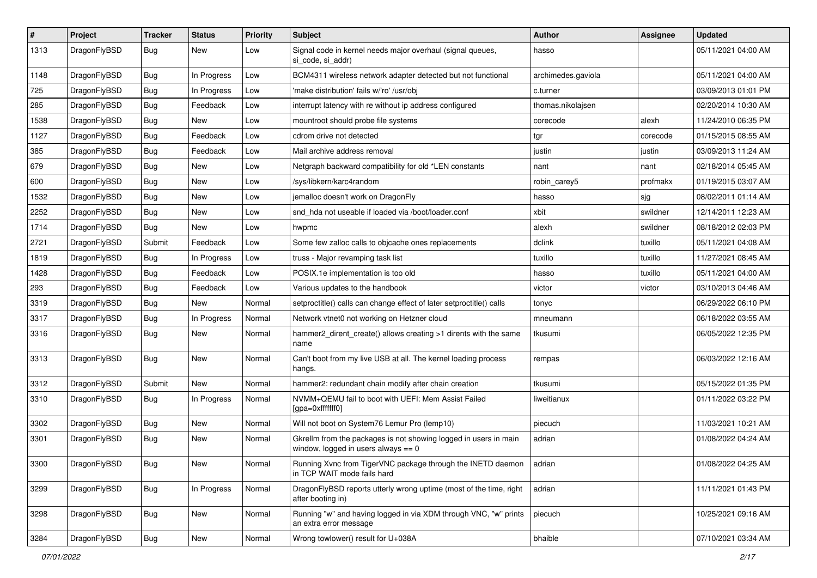| $\sharp$ | Project      | <b>Tracker</b> | <b>Status</b> | <b>Priority</b> | Subject                                                                                                   | <b>Author</b>      | Assignee | <b>Updated</b>      |
|----------|--------------|----------------|---------------|-----------------|-----------------------------------------------------------------------------------------------------------|--------------------|----------|---------------------|
| 1313     | DragonFlyBSD | Bug            | New           | Low             | Signal code in kernel needs major overhaul (signal queues,<br>si code, si addr)                           | hasso              |          | 05/11/2021 04:00 AM |
| 1148     | DragonFlyBSD | Bug            | In Progress   | Low             | BCM4311 wireless network adapter detected but not functional                                              | archimedes.gaviola |          | 05/11/2021 04:00 AM |
| 725      | DragonFlyBSD | Bug            | In Progress   | Low             | 'make distribution' fails w/'ro' /usr/obj                                                                 | c.turner           |          | 03/09/2013 01:01 PM |
| 285      | DragonFlyBSD | Bug            | Feedback      | Low             | interrupt latency with re without ip address configured                                                   | thomas.nikolajsen  |          | 02/20/2014 10:30 AM |
| 1538     | DragonFlyBSD | <b>Bug</b>     | New           | Low             | mountroot should probe file systems                                                                       | corecode           | alexh    | 11/24/2010 06:35 PM |
| 1127     | DragonFlyBSD | Bug            | Feedback      | Low             | cdrom drive not detected                                                                                  | tgr                | corecode | 01/15/2015 08:55 AM |
| 385      | DragonFlyBSD | Bug            | Feedback      | Low             | Mail archive address removal                                                                              | justin             | justin   | 03/09/2013 11:24 AM |
| 679      | DragonFlyBSD | Bug            | New           | Low             | Netgraph backward compatibility for old *LEN constants                                                    | nant               | nant     | 02/18/2014 05:45 AM |
| 600      | DragonFlyBSD | Bug            | <b>New</b>    | Low             | /sys/libkern/karc4random                                                                                  | robin carey5       | profmakx | 01/19/2015 03:07 AM |
| 1532     | DragonFlyBSD | <b>Bug</b>     | New           | Low             | jemalloc doesn't work on DragonFly                                                                        | hasso              | sjg      | 08/02/2011 01:14 AM |
| 2252     | DragonFlyBSD | <b>Bug</b>     | New           | Low             | snd hda not useable if loaded via /boot/loader.conf                                                       | xbit               | swildner | 12/14/2011 12:23 AM |
| 1714     | DragonFlyBSD | <b>Bug</b>     | New           | Low             | hwpmc                                                                                                     | alexh              | swildner | 08/18/2012 02:03 PM |
| 2721     | DragonFlyBSD | Submit         | Feedback      | Low             | Some few zalloc calls to objcache ones replacements                                                       | dclink             | tuxillo  | 05/11/2021 04:08 AM |
| 1819     | DragonFlyBSD | <b>Bug</b>     | In Progress   | Low             | truss - Major revamping task list                                                                         | tuxillo            | tuxillo  | 11/27/2021 08:45 AM |
| 1428     | DragonFlyBSD | <b>Bug</b>     | Feedback      | Low             | POSIX.1e implementation is too old                                                                        | hasso              | tuxillo  | 05/11/2021 04:00 AM |
| 293      | DragonFlyBSD | <b>Bug</b>     | Feedback      | Low             | Various updates to the handbook                                                                           | victor             | victor   | 03/10/2013 04:46 AM |
| 3319     | DragonFlyBSD | <b>Bug</b>     | <b>New</b>    | Normal          | setproctitle() calls can change effect of later setproctitle() calls                                      | tonyc              |          | 06/29/2022 06:10 PM |
| 3317     | DragonFlyBSD | <b>Bug</b>     | In Progress   | Normal          | Network vtnet0 not working on Hetzner cloud                                                               | mneumann           |          | 06/18/2022 03:55 AM |
| 3316     | DragonFlyBSD | <b>Bug</b>     | New           | Normal          | hammer2_dirent_create() allows creating >1 dirents with the same<br>name                                  | tkusumi            |          | 06/05/2022 12:35 PM |
| 3313     | DragonFlyBSD | Bug            | New           | Normal          | Can't boot from my live USB at all. The kernel loading process<br>hangs.                                  | rempas             |          | 06/03/2022 12:16 AM |
| 3312     | DragonFlyBSD | Submit         | New           | Normal          | hammer2: redundant chain modify after chain creation                                                      | tkusumi            |          | 05/15/2022 01:35 PM |
| 3310     | DragonFlyBSD | <b>Bug</b>     | In Progress   | Normal          | NVMM+QEMU fail to boot with UEFI: Mem Assist Failed<br>[gpa=0xfffffff0]                                   | liweitianux        |          | 01/11/2022 03:22 PM |
| 3302     | DragonFlyBSD | <b>Bug</b>     | New           | Normal          | Will not boot on System76 Lemur Pro (lemp10)                                                              | piecuch            |          | 11/03/2021 10:21 AM |
| 3301     | DragonFlyBSD | <b>Bug</b>     | New           | Normal          | Gkrellm from the packages is not showing logged in users in main<br>window, logged in users always $== 0$ | adrian             |          | 01/08/2022 04:24 AM |
| 3300     | DragonFlyBSD | <b>Bug</b>     | <b>New</b>    | Normal          | Running Xvnc from TigerVNC package through the INETD daemon adrian<br>in TCP WAIT mode fails hard         |                    |          | 01/08/2022 04:25 AM |
| 3299     | DragonFlyBSD | <b>Bug</b>     | In Progress   | Normal          | DragonFlyBSD reports utterly wrong uptime (most of the time, right<br>after booting in)                   | adrian             |          | 11/11/2021 01:43 PM |
| 3298     | DragonFlyBSD | <b>Bug</b>     | New           | Normal          | Running "w" and having logged in via XDM through VNC, "w" prints<br>an extra error message                | piecuch            |          | 10/25/2021 09:16 AM |
| 3284     | DragonFlyBSD | Bug            | New           | Normal          | Wrong towlower() result for U+038A                                                                        | bhaible            |          | 07/10/2021 03:34 AM |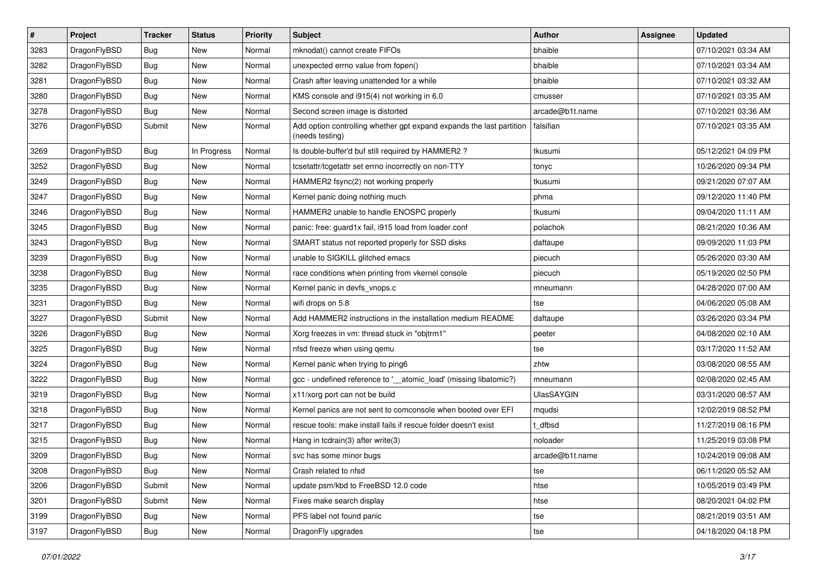| $\sharp$ | Project      | <b>Tracker</b> | <b>Status</b> | <b>Priority</b> | Subject                                                                                 | <b>Author</b>   | <b>Assignee</b> | <b>Updated</b>      |
|----------|--------------|----------------|---------------|-----------------|-----------------------------------------------------------------------------------------|-----------------|-----------------|---------------------|
| 3283     | DragonFlyBSD | <b>Bug</b>     | New           | Normal          | mknodat() cannot create FIFOs                                                           | bhaible         |                 | 07/10/2021 03:34 AM |
| 3282     | DragonFlyBSD | <b>Bug</b>     | <b>New</b>    | Normal          | unexpected errno value from fopen()                                                     | bhaible         |                 | 07/10/2021 03:34 AM |
| 3281     | DragonFlyBSD | <b>Bug</b>     | New           | Normal          | Crash after leaving unattended for a while                                              | bhaible         |                 | 07/10/2021 03:32 AM |
| 3280     | DragonFlyBSD | <b>Bug</b>     | New           | Normal          | KMS console and i915(4) not working in 6.0                                              | cmusser         |                 | 07/10/2021 03:35 AM |
| 3278     | DragonFlyBSD | <b>Bug</b>     | New           | Normal          | Second screen image is distorted                                                        | arcade@b1t.name |                 | 07/10/2021 03:36 AM |
| 3276     | DragonFlyBSD | Submit         | New           | Normal          | Add option controlling whether gpt expand expands the last partition<br>(needs testing) | falsifian       |                 | 07/10/2021 03:35 AM |
| 3269     | DragonFlyBSD | <b>Bug</b>     | In Progress   | Normal          | Is double-buffer'd buf still required by HAMMER2?                                       | tkusumi         |                 | 05/12/2021 04:09 PM |
| 3252     | DragonFlyBSD | <b>Bug</b>     | New           | Normal          | tcsetattr/tcgetattr set errno incorrectly on non-TTY                                    | tonyc           |                 | 10/26/2020 09:34 PM |
| 3249     | DragonFlyBSD | Bug            | <b>New</b>    | Normal          | HAMMER2 fsync(2) not working properly                                                   | tkusumi         |                 | 09/21/2020 07:07 AM |
| 3247     | DragonFlyBSD | <b>Bug</b>     | New           | Normal          | Kernel panic doing nothing much                                                         | phma            |                 | 09/12/2020 11:40 PM |
| 3246     | DragonFlyBSD | <b>Bug</b>     | <b>New</b>    | Normal          | HAMMER2 unable to handle ENOSPC properly                                                | tkusumi         |                 | 09/04/2020 11:11 AM |
| 3245     | DragonFlyBSD | <b>Bug</b>     | <b>New</b>    | Normal          | panic: free: guard1x fail, i915 load from loader.conf                                   | polachok        |                 | 08/21/2020 10:36 AM |
| 3243     | DragonFlyBSD | <b>Bug</b>     | New           | Normal          | SMART status not reported properly for SSD disks                                        | daftaupe        |                 | 09/09/2020 11:03 PM |
| 3239     | DragonFlyBSD | Bug            | <b>New</b>    | Normal          | unable to SIGKILL glitched emacs                                                        | piecuch         |                 | 05/26/2020 03:30 AM |
| 3238     | DragonFlyBSD | <b>Bug</b>     | New           | Normal          | race conditions when printing from vkernel console                                      | piecuch         |                 | 05/19/2020 02:50 PM |
| 3235     | DragonFlyBSD | <b>Bug</b>     | <b>New</b>    | Normal          | Kernel panic in devfs_vnops.c                                                           | mneumann        |                 | 04/28/2020 07:00 AM |
| 3231     | DragonFlyBSD | <b>Bug</b>     | New           | Normal          | wifi drops on 5.8                                                                       | tse             |                 | 04/06/2020 05:08 AM |
| 3227     | DragonFlyBSD | Submit         | <b>New</b>    | Normal          | Add HAMMER2 instructions in the installation medium README                              | daftaupe        |                 | 03/26/2020 03:34 PM |
| 3226     | DragonFlyBSD | <b>Bug</b>     | New           | Normal          | Xorg freezes in vm: thread stuck in "objtrm1"                                           | peeter          |                 | 04/08/2020 02:10 AM |
| 3225     | DragonFlyBSD | <b>Bug</b>     | <b>New</b>    | Normal          | nfsd freeze when using qemu                                                             | tse             |                 | 03/17/2020 11:52 AM |
| 3224     | DragonFlyBSD | <b>Bug</b>     | New           | Normal          | Kernel panic when trying to ping6                                                       | zhtw            |                 | 03/08/2020 08:55 AM |
| 3222     | DragonFlyBSD | Bug            | <b>New</b>    | Normal          | gcc - undefined reference to '__atomic_load' (missing libatomic?)                       | mneumann        |                 | 02/08/2020 02:45 AM |
| 3219     | DragonFlyBSD | <b>Bug</b>     | <b>New</b>    | Normal          | x11/xorg port can not be build                                                          | UlasSAYGIN      |                 | 03/31/2020 08:57 AM |
| 3218     | DragonFlyBSD | <b>Bug</b>     | New           | Normal          | Kernel panics are not sent to comconsole when booted over EFI                           | mqudsi          |                 | 12/02/2019 08:52 PM |
| 3217     | DragonFlyBSD | <b>Bug</b>     | New           | Normal          | rescue tools: make install fails if rescue folder doesn't exist                         | t dfbsd         |                 | 11/27/2019 08:16 PM |
| 3215     | DragonFlyBSD | <b>Bug</b>     | New           | Normal          | Hang in tcdrain(3) after write(3)                                                       | noloader        |                 | 11/25/2019 03:08 PM |
| 3209     | DragonFlyBSD | <b>Bug</b>     | New           | Normal          | svc has some minor bugs                                                                 | arcade@b1t.name |                 | 10/24/2019 09:08 AM |
| 3208     | DragonFlyBSD | <b>Bug</b>     | New           | Normal          | Crash related to nfsd                                                                   | tse             |                 | 06/11/2020 05:52 AM |
| 3206     | DragonFlyBSD | Submit         | New           | Normal          | update psm/kbd to FreeBSD 12.0 code                                                     | htse            |                 | 10/05/2019 03:49 PM |
| 3201     | DragonFlyBSD | Submit         | New           | Normal          | Fixes make search display                                                               | htse            |                 | 08/20/2021 04:02 PM |
| 3199     | DragonFlyBSD | <b>Bug</b>     | New           | Normal          | PFS label not found panic                                                               | tse             |                 | 08/21/2019 03:51 AM |
| 3197     | DragonFlyBSD | Bug            | New           | Normal          | DragonFly upgrades                                                                      | tse             |                 | 04/18/2020 04:18 PM |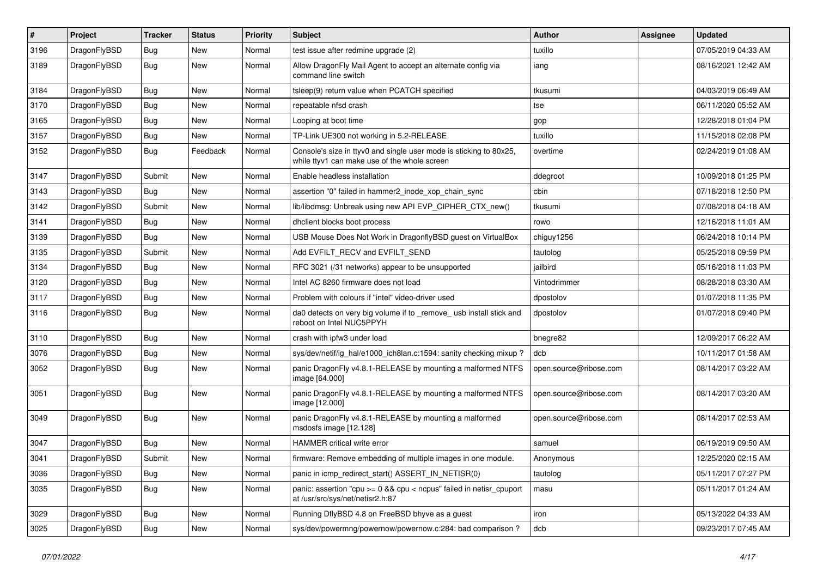| $\sharp$ | Project      | <b>Tracker</b> | <b>Status</b> | <b>Priority</b> | Subject                                                                                                            | <b>Author</b>          | Assignee | Updated             |
|----------|--------------|----------------|---------------|-----------------|--------------------------------------------------------------------------------------------------------------------|------------------------|----------|---------------------|
| 3196     | DragonFlyBSD | Bug            | <b>New</b>    | Normal          | test issue after redmine upgrade (2)                                                                               | tuxillo                |          | 07/05/2019 04:33 AM |
| 3189     | DragonFlyBSD | <b>Bug</b>     | New           | Normal          | Allow DragonFly Mail Agent to accept an alternate config via<br>command line switch                                | iang                   |          | 08/16/2021 12:42 AM |
| 3184     | DragonFlyBSD | Bug            | <b>New</b>    | Normal          | tsleep(9) return value when PCATCH specified                                                                       | tkusumi                |          | 04/03/2019 06:49 AM |
| 3170     | DragonFlyBSD | Bug            | <b>New</b>    | Normal          | repeatable nfsd crash                                                                                              | tse                    |          | 06/11/2020 05:52 AM |
| 3165     | DragonFlyBSD | Bug            | New           | Normal          | Looping at boot time                                                                                               | gop                    |          | 12/28/2018 01:04 PM |
| 3157     | DragonFlyBSD | Bug            | New           | Normal          | TP-Link UE300 not working in 5.2-RELEASE                                                                           | tuxillo                |          | 11/15/2018 02:08 PM |
| 3152     | DragonFlyBSD | Bug            | Feedback      | Normal          | Console's size in ttyv0 and single user mode is sticking to 80x25,<br>while ttyv1 can make use of the whole screen | overtime               |          | 02/24/2019 01:08 AM |
| 3147     | DragonFlyBSD | Submit         | New           | Normal          | Enable headless installation                                                                                       | ddegroot               |          | 10/09/2018 01:25 PM |
| 3143     | DragonFlyBSD | Bug            | <b>New</b>    | Normal          | assertion "0" failed in hammer2 inode xop chain sync                                                               | cbin                   |          | 07/18/2018 12:50 PM |
| 3142     | DragonFlyBSD | Submit         | <b>New</b>    | Normal          | lib/libdmsg: Unbreak using new API EVP_CIPHER_CTX_new()                                                            | tkusumi                |          | 07/08/2018 04:18 AM |
| 3141     | DragonFlyBSD | Bug            | New           | Normal          | dhclient blocks boot process                                                                                       | rowo                   |          | 12/16/2018 11:01 AM |
| 3139     | DragonFlyBSD | Bug            | <b>New</b>    | Normal          | USB Mouse Does Not Work in DragonflyBSD guest on VirtualBox                                                        | chiguy1256             |          | 06/24/2018 10:14 PM |
| 3135     | DragonFlyBSD | Submit         | <b>New</b>    | Normal          | Add EVFILT RECV and EVFILT SEND                                                                                    | tautolog               |          | 05/25/2018 09:59 PM |
| 3134     | DragonFlyBSD | Bug            | New           | Normal          | RFC 3021 (/31 networks) appear to be unsupported                                                                   | jailbird               |          | 05/16/2018 11:03 PM |
| 3120     | DragonFlyBSD | Bug            | <b>New</b>    | Normal          | Intel AC 8260 firmware does not load                                                                               | Vintodrimmer           |          | 08/28/2018 03:30 AM |
| 3117     | DragonFlyBSD | Bug            | <b>New</b>    | Normal          | Problem with colours if "intel" video-driver used                                                                  | dpostolov              |          | 01/07/2018 11:35 PM |
| 3116     | DragonFlyBSD | Bug            | <b>New</b>    | Normal          | da0 detects on very big volume if to _remove_usb install stick and<br>reboot on Intel NUC5PPYH                     | dpostolov              |          | 01/07/2018 09:40 PM |
| 3110     | DragonFlyBSD | Bug            | <b>New</b>    | Normal          | crash with ipfw3 under load                                                                                        | bnegre82               |          | 12/09/2017 06:22 AM |
| 3076     | DragonFlyBSD | Bug            | <b>New</b>    | Normal          | sys/dev/netif/ig_hal/e1000_ich8lan.c:1594: sanity checking mixup?                                                  | dcb                    |          | 10/11/2017 01:58 AM |
| 3052     | DragonFlyBSD | Bug            | New           | Normal          | panic DragonFly v4.8.1-RELEASE by mounting a malformed NTFS<br>image [64.000]                                      | open.source@ribose.com |          | 08/14/2017 03:22 AM |
| 3051     | DragonFlyBSD | Bug            | New           | Normal          | panic DragonFly v4.8.1-RELEASE by mounting a malformed NTFS<br>image [12.000]                                      | open.source@ribose.com |          | 08/14/2017 03:20 AM |
| 3049     | DragonFlyBSD | Bug            | New           | Normal          | panic DragonFly v4.8.1-RELEASE by mounting a malformed<br>msdosfs image [12.128]                                   | open.source@ribose.com |          | 08/14/2017 02:53 AM |
| 3047     | DragonFlyBSD | Bug            | <b>New</b>    | Normal          | <b>HAMMER critical write error</b>                                                                                 | samuel                 |          | 06/19/2019 09:50 AM |
| 3041     | DragonFlyBSD | Submit         | <b>New</b>    | Normal          | firmware: Remove embedding of multiple images in one module.                                                       | Anonymous              |          | 12/25/2020 02:15 AM |
| 3036     | DragonFlyBSD | <b>Bug</b>     | New           | Normal          | panic in icmp_redirect_start() ASSERT_IN_NETISR(0)                                                                 | tautolog               |          | 05/11/2017 07:27 PM |
| 3035     | DragonFlyBSD | <b>Bug</b>     | New           | Normal          | panic: assertion "cpu >= 0 && cpu < ncpus" failed in netisr_cpuport<br>at /usr/src/sys/net/netisr2.h:87            | masu                   |          | 05/11/2017 01:24 AM |
| 3029     | DragonFlyBSD | <b>Bug</b>     | <b>New</b>    | Normal          | Running DflyBSD 4.8 on FreeBSD bhyve as a guest                                                                    | iron                   |          | 05/13/2022 04:33 AM |
| 3025     | DragonFlyBSD | <b>Bug</b>     | New           | Normal          | sys/dev/powermng/powernow/powernow.c:284: bad comparison?                                                          | dcb                    |          | 09/23/2017 07:45 AM |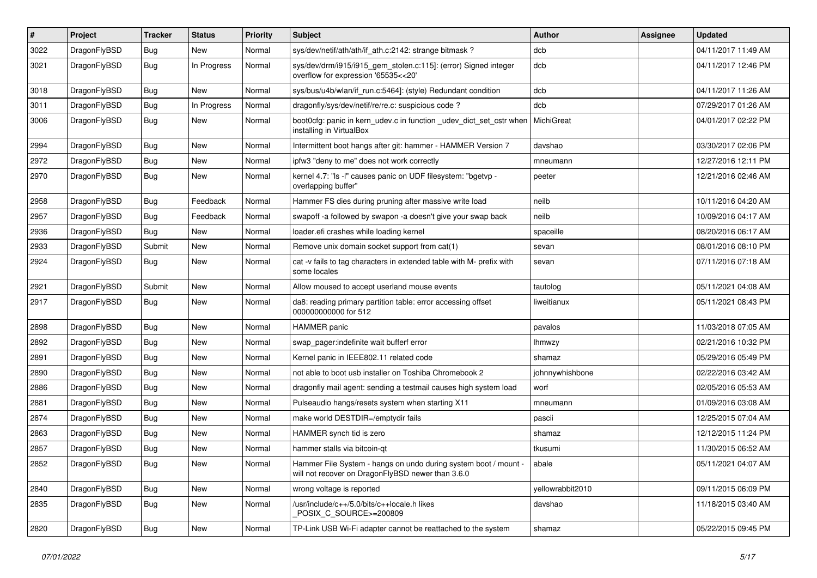| #    | Project      | <b>Tracker</b> | <b>Status</b> | <b>Priority</b> | Subject                                                                                                              | <b>Author</b>    | Assignee | <b>Updated</b>      |
|------|--------------|----------------|---------------|-----------------|----------------------------------------------------------------------------------------------------------------------|------------------|----------|---------------------|
| 3022 | DragonFlyBSD | Bug            | <b>New</b>    | Normal          | sys/dev/netif/ath/ath/if ath.c:2142: strange bitmask?                                                                | dcb              |          | 04/11/2017 11:49 AM |
| 3021 | DragonFlyBSD | <b>Bug</b>     | In Progress   | Normal          | sys/dev/drm/i915/i915_gem_stolen.c:115]: (error) Signed integer<br>overflow for expression '65535<<20'               | dcb              |          | 04/11/2017 12:46 PM |
| 3018 | DragonFlyBSD | Bug            | New           | Normal          | sys/bus/u4b/wlan/if_run.c:5464]: (style) Redundant condition                                                         | dcb              |          | 04/11/2017 11:26 AM |
| 3011 | DragonFlyBSD | Bug            | In Progress   | Normal          | dragonfly/sys/dev/netif/re/re.c: suspicious code?                                                                    | dcb              |          | 07/29/2017 01:26 AM |
| 3006 | DragonFlyBSD | <b>Bug</b>     | New           | Normal          | boot0cfg: panic in kern_udev.c in function _udev_dict_set_cstr when<br>installing in VirtualBox                      | MichiGreat       |          | 04/01/2017 02:22 PM |
| 2994 | DragonFlyBSD | Bug            | New           | Normal          | Intermittent boot hangs after git: hammer - HAMMER Version 7                                                         | davshao          |          | 03/30/2017 02:06 PM |
| 2972 | DragonFlyBSD | <b>Bug</b>     | New           | Normal          | ipfw3 "deny to me" does not work correctly                                                                           | mneumann         |          | 12/27/2016 12:11 PM |
| 2970 | DragonFlyBSD | <b>Bug</b>     | New           | Normal          | kernel 4.7: "Is -l" causes panic on UDF filesystem: "bgetvp -<br>overlapping buffer"                                 | peeter           |          | 12/21/2016 02:46 AM |
| 2958 | DragonFlyBSD | <b>Bug</b>     | Feedback      | Normal          | Hammer FS dies during pruning after massive write load                                                               | neilb            |          | 10/11/2016 04:20 AM |
| 2957 | DragonFlyBSD | <b>Bug</b>     | Feedback      | Normal          | swapoff -a followed by swapon -a doesn't give your swap back                                                         | neilb            |          | 10/09/2016 04:17 AM |
| 2936 | DragonFlyBSD | <b>Bug</b>     | <b>New</b>    | Normal          | loader.efi crashes while loading kernel                                                                              | spaceille        |          | 08/20/2016 06:17 AM |
| 2933 | DragonFlyBSD | Submit         | New           | Normal          | Remove unix domain socket support from cat(1)                                                                        | sevan            |          | 08/01/2016 08:10 PM |
| 2924 | DragonFlyBSD | Bug            | <b>New</b>    | Normal          | cat -v fails to tag characters in extended table with M- prefix with<br>some locales                                 | sevan            |          | 07/11/2016 07:18 AM |
| 2921 | DragonFlyBSD | Submit         | New           | Normal          | Allow moused to accept userland mouse events                                                                         | tautolog         |          | 05/11/2021 04:08 AM |
| 2917 | DragonFlyBSD | Bug            | New           | Normal          | da8: reading primary partition table: error accessing offset<br>000000000000 for 512                                 | liweitianux      |          | 05/11/2021 08:43 PM |
| 2898 | DragonFlyBSD | <b>Bug</b>     | New           | Normal          | <b>HAMMER</b> panic                                                                                                  | pavalos          |          | 11/03/2018 07:05 AM |
| 2892 | DragonFlyBSD | <b>Bug</b>     | New           | Normal          | swap pager:indefinite wait bufferf error                                                                             | lhmwzy           |          | 02/21/2016 10:32 PM |
| 2891 | DragonFlyBSD | <b>Bug</b>     | New           | Normal          | Kernel panic in IEEE802.11 related code                                                                              | shamaz           |          | 05/29/2016 05:49 PM |
| 2890 | DragonFlyBSD | <b>Bug</b>     | New           | Normal          | not able to boot usb installer on Toshiba Chromebook 2                                                               | johnnywhishbone  |          | 02/22/2016 03:42 AM |
| 2886 | DragonFlyBSD | <b>Bug</b>     | New           | Normal          | dragonfly mail agent: sending a testmail causes high system load                                                     | worf             |          | 02/05/2016 05:53 AM |
| 2881 | DragonFlyBSD | <b>Bug</b>     | <b>New</b>    | Normal          | Pulseaudio hangs/resets system when starting X11                                                                     | mneumann         |          | 01/09/2016 03:08 AM |
| 2874 | DragonFlyBSD | <b>Bug</b>     | New           | Normal          | make world DESTDIR=/emptydir fails                                                                                   | pascii           |          | 12/25/2015 07:04 AM |
| 2863 | DragonFlyBSD | <b>Bug</b>     | New           | Normal          | HAMMER synch tid is zero                                                                                             | shamaz           |          | 12/12/2015 11:24 PM |
| 2857 | DragonFlyBSD | <b>Bug</b>     | New           | Normal          | hammer stalls via bitcoin-qt                                                                                         | tkusumi          |          | 11/30/2015 06:52 AM |
| 2852 | DragonFlyBSD | <b>Bug</b>     | New           | Normal          | Hammer File System - hangs on undo during system boot / mount -<br>will not recover on DragonFlyBSD newer than 3.6.0 | abale            |          | 05/11/2021 04:07 AM |
| 2840 | DragonFlyBSD | Bug            | <b>New</b>    | Normal          | wrong voltage is reported                                                                                            | yellowrabbit2010 |          | 09/11/2015 06:09 PM |
| 2835 | DragonFlyBSD | <b>Bug</b>     | New           | Normal          | /usr/include/c++/5.0/bits/c++locale.h likes<br>POSIX C SOURCE>=200809                                                | davshao          |          | 11/18/2015 03:40 AM |
| 2820 | DragonFlyBSD | <b>Bug</b>     | New           | Normal          | TP-Link USB Wi-Fi adapter cannot be reattached to the system                                                         | shamaz           |          | 05/22/2015 09:45 PM |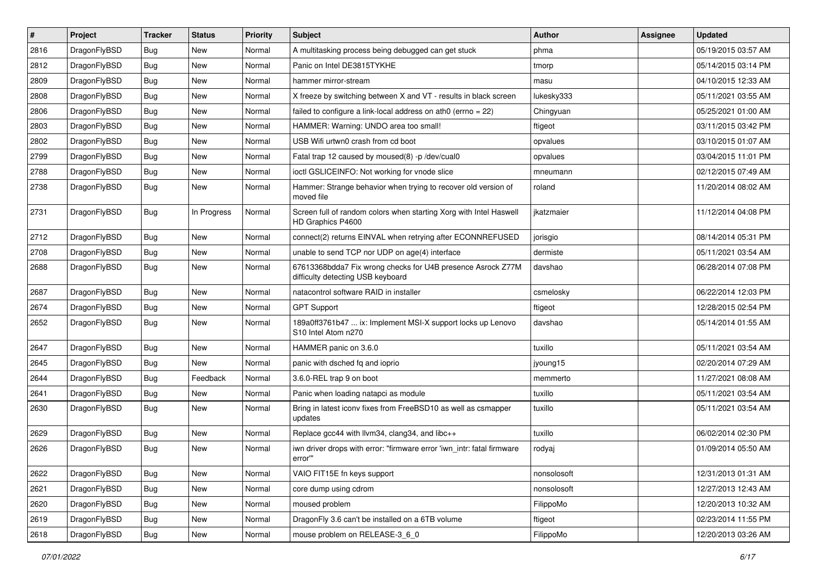| $\pmb{\#}$ | Project      | <b>Tracker</b> | <b>Status</b> | <b>Priority</b> | Subject                                                                                          | Author      | Assignee | <b>Updated</b>      |
|------------|--------------|----------------|---------------|-----------------|--------------------------------------------------------------------------------------------------|-------------|----------|---------------------|
| 2816       | DragonFlyBSD | Bug            | <b>New</b>    | Normal          | A multitasking process being debugged can get stuck                                              | phma        |          | 05/19/2015 03:57 AM |
| 2812       | DragonFlyBSD | Bug            | <b>New</b>    | Normal          | Panic on Intel DE3815TYKHE                                                                       | tmorp       |          | 05/14/2015 03:14 PM |
| 2809       | DragonFlyBSD | <b>Bug</b>     | <b>New</b>    | Normal          | hammer mirror-stream                                                                             | masu        |          | 04/10/2015 12:33 AM |
| 2808       | DragonFlyBSD | <b>Bug</b>     | New           | Normal          | X freeze by switching between X and VT - results in black screen                                 | lukesky333  |          | 05/11/2021 03:55 AM |
| 2806       | DragonFlyBSD | <b>Bug</b>     | <b>New</b>    | Normal          | failed to configure a link-local address on ath0 (errno = 22)                                    | Chingyuan   |          | 05/25/2021 01:00 AM |
| 2803       | DragonFlyBSD | <b>Bug</b>     | New           | Normal          | HAMMER: Warning: UNDO area too small!                                                            | ftigeot     |          | 03/11/2015 03:42 PM |
| 2802       | DragonFlyBSD | Bug            | <b>New</b>    | Normal          | USB Wifi urtwn0 crash from cd boot                                                               | opvalues    |          | 03/10/2015 01:07 AM |
| 2799       | DragonFlyBSD | Bug            | <b>New</b>    | Normal          | Fatal trap 12 caused by moused(8) -p/dev/cual0                                                   | opvalues    |          | 03/04/2015 11:01 PM |
| 2788       | DragonFlyBSD | <b>Bug</b>     | <b>New</b>    | Normal          | ioctl GSLICEINFO: Not working for vnode slice                                                    | mneumann    |          | 02/12/2015 07:49 AM |
| 2738       | DragonFlyBSD | Bug            | <b>New</b>    | Normal          | Hammer: Strange behavior when trying to recover old version of<br>moved file                     | roland      |          | 11/20/2014 08:02 AM |
| 2731       | DragonFlyBSD | Bug            | In Progress   | Normal          | Screen full of random colors when starting Xorg with Intel Haswell<br>HD Graphics P4600          | jkatzmaier  |          | 11/12/2014 04:08 PM |
| 2712       | DragonFlyBSD | Bug            | <b>New</b>    | Normal          | connect(2) returns EINVAL when retrying after ECONNREFUSED                                       | jorisgio    |          | 08/14/2014 05:31 PM |
| 2708       | DragonFlyBSD | Bug            | <b>New</b>    | Normal          | unable to send TCP nor UDP on age(4) interface                                                   | dermiste    |          | 05/11/2021 03:54 AM |
| 2688       | DragonFlyBSD | Bug            | <b>New</b>    | Normal          | 67613368bdda7 Fix wrong checks for U4B presence Asrock Z77M<br>difficulty detecting USB keyboard | davshao     |          | 06/28/2014 07:08 PM |
| 2687       | DragonFlyBSD | Bug            | <b>New</b>    | Normal          | natacontrol software RAID in installer                                                           | csmelosky   |          | 06/22/2014 12:03 PM |
| 2674       | DragonFlyBSD | <b>Bug</b>     | <b>New</b>    | Normal          | <b>GPT Support</b>                                                                               | ftigeot     |          | 12/28/2015 02:54 PM |
| 2652       | DragonFlyBSD | Bug            | New           | Normal          | 189a0ff3761b47  ix: Implement MSI-X support locks up Lenovo<br>S10 Intel Atom n270               | davshao     |          | 05/14/2014 01:55 AM |
| 2647       | DragonFlyBSD | Bug            | <b>New</b>    | Normal          | HAMMER panic on 3.6.0                                                                            | tuxillo     |          | 05/11/2021 03:54 AM |
| 2645       | DragonFlyBSD | Bug            | <b>New</b>    | Normal          | panic with dsched fq and ioprio                                                                  | jyoung15    |          | 02/20/2014 07:29 AM |
| 2644       | DragonFlyBSD | Bug            | Feedback      | Normal          | 3.6.0-REL trap 9 on boot                                                                         | memmerto    |          | 11/27/2021 08:08 AM |
| 2641       | DragonFlyBSD | <b>Bug</b>     | <b>New</b>    | Normal          | Panic when loading natapci as module                                                             | tuxillo     |          | 05/11/2021 03:54 AM |
| 2630       | DragonFlyBSD | <b>Bug</b>     | <b>New</b>    | Normal          | Bring in latest iconv fixes from FreeBSD10 as well as csmapper<br>updates                        | tuxillo     |          | 05/11/2021 03:54 AM |
| 2629       | DragonFlyBSD | <b>Bug</b>     | <b>New</b>    | Normal          | Replace gcc44 with llvm34, clang34, and libc++                                                   | tuxillo     |          | 06/02/2014 02:30 PM |
| 2626       | DragonFlyBSD | Bug            | <b>New</b>    | Normal          | iwn driver drops with error: "firmware error 'iwn intr: fatal firmware<br>error"                 | rodyaj      |          | 01/09/2014 05:50 AM |
| 2622       | DragonFlyBSD | <b>Bug</b>     | <b>New</b>    | Normal          | VAIO FIT15E fn keys support                                                                      | nonsolosoft |          | 12/31/2013 01:31 AM |
| 2621       | DragonFlyBSD | <b>Bug</b>     | New           | Normal          | core dump using cdrom                                                                            | nonsolosoft |          | 12/27/2013 12:43 AM |
| 2620       | DragonFlyBSD | <b>Bug</b>     | New           | Normal          | moused problem                                                                                   | FilippoMo   |          | 12/20/2013 10:32 AM |
| 2619       | DragonFlyBSD | <b>Bug</b>     | New           | Normal          | DragonFly 3.6 can't be installed on a 6TB volume                                                 | ftigeot     |          | 02/23/2014 11:55 PM |
| 2618       | DragonFlyBSD | Bug            | New           | Normal          | mouse problem on RELEASE-3_6_0                                                                   | FilippoMo   |          | 12/20/2013 03:26 AM |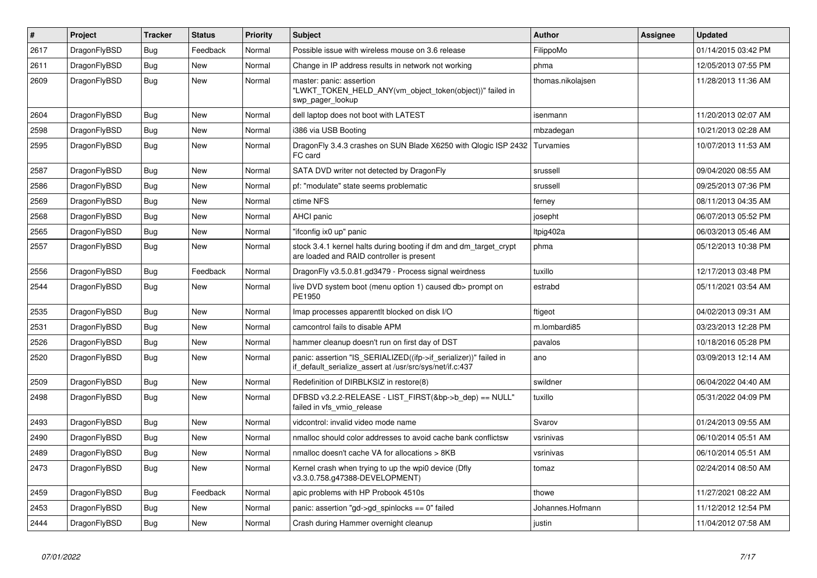| $\vert$ # | <b>Project</b> | <b>Tracker</b> | <b>Status</b> | <b>Priority</b> | <b>Subject</b>                                                                                                               | <b>Author</b>     | Assignee | <b>Updated</b>      |
|-----------|----------------|----------------|---------------|-----------------|------------------------------------------------------------------------------------------------------------------------------|-------------------|----------|---------------------|
| 2617      | DragonFlyBSD   | Bug            | Feedback      | Normal          | Possible issue with wireless mouse on 3.6 release                                                                            | FilippoMo         |          | 01/14/2015 03:42 PM |
| 2611      | DragonFlyBSD   | Bug            | <b>New</b>    | Normal          | Change in IP address results in network not working                                                                          | phma              |          | 12/05/2013 07:55 PM |
| 2609      | DragonFlyBSD   | Bug            | New           | Normal          | master: panic: assertion<br>"LWKT_TOKEN_HELD_ANY(vm_object_token(object))" failed in<br>swp_pager_lookup                     | thomas.nikolajsen |          | 11/28/2013 11:36 AM |
| 2604      | DragonFlyBSD   | <b>Bug</b>     | <b>New</b>    | Normal          | dell laptop does not boot with LATEST                                                                                        | isenmann          |          | 11/20/2013 02:07 AM |
| 2598      | DragonFlyBSD   | Bug            | <b>New</b>    | Normal          | i386 via USB Booting                                                                                                         | mbzadegan         |          | 10/21/2013 02:28 AM |
| 2595      | DragonFlyBSD   | <b>Bug</b>     | <b>New</b>    | Normal          | DragonFly 3.4.3 crashes on SUN Blade X6250 with Qlogic ISP 2432<br>FC card                                                   | Turvamies         |          | 10/07/2013 11:53 AM |
| 2587      | DragonFlyBSD   | Bug            | <b>New</b>    | Normal          | SATA DVD writer not detected by DragonFly                                                                                    | srussell          |          | 09/04/2020 08:55 AM |
| 2586      | DragonFlyBSD   | <b>Bug</b>     | New           | Normal          | pf: "modulate" state seems problematic                                                                                       | srussell          |          | 09/25/2013 07:36 PM |
| 2569      | DragonFlyBSD   | Bug            | <b>New</b>    | Normal          | ctime NFS                                                                                                                    | ferney            |          | 08/11/2013 04:35 AM |
| 2568      | DragonFlyBSD   | Bug            | <b>New</b>    | Normal          | AHCI panic                                                                                                                   | josepht           |          | 06/07/2013 05:52 PM |
| 2565      | DragonFlyBSD   | <b>Bug</b>     | <b>New</b>    | Normal          | "ifconfig ix0 up" panic                                                                                                      | Itpig402a         |          | 06/03/2013 05:46 AM |
| 2557      | DragonFlyBSD   | <b>Bug</b>     | <b>New</b>    | Normal          | stock 3.4.1 kernel halts during booting if dm and dm_target_crypt<br>are loaded and RAID controller is present               | phma              |          | 05/12/2013 10:38 PM |
| 2556      | DragonFlyBSD   | <b>Bug</b>     | Feedback      | Normal          | DragonFly v3.5.0.81.gd3479 - Process signal weirdness                                                                        | tuxillo           |          | 12/17/2013 03:48 PM |
| 2544      | DragonFlyBSD   | <b>Bug</b>     | <b>New</b>    | Normal          | live DVD system boot (menu option 1) caused db> prompt on<br>PE1950                                                          | estrabd           |          | 05/11/2021 03:54 AM |
| 2535      | DragonFlyBSD   | <b>Bug</b>     | <b>New</b>    | Normal          | Imap processes apparentit blocked on disk I/O                                                                                | ftigeot           |          | 04/02/2013 09:31 AM |
| 2531      | DragonFlyBSD   | <b>Bug</b>     | <b>New</b>    | Normal          | camcontrol fails to disable APM                                                                                              | m.lombardi85      |          | 03/23/2013 12:28 PM |
| 2526      | DragonFlyBSD   | Bug            | <b>New</b>    | Normal          | hammer cleanup doesn't run on first day of DST                                                                               | pavalos           |          | 10/18/2016 05:28 PM |
| 2520      | DragonFlyBSD   | <b>Bug</b>     | <b>New</b>    | Normal          | panic: assertion "IS_SERIALIZED((ifp->if_serializer))" failed in<br>if default serialize assert at /usr/src/sys/net/if.c:437 | ano               |          | 03/09/2013 12:14 AM |
| 2509      | DragonFlyBSD   | Bug            | <b>New</b>    | Normal          | Redefinition of DIRBLKSIZ in restore(8)                                                                                      | swildner          |          | 06/04/2022 04:40 AM |
| 2498      | DragonFlyBSD   | <b>Bug</b>     | New           | Normal          | DFBSD v3.2.2-RELEASE - LIST_FIRST(&bp->b_dep) == NULL"<br>failed in vfs vmio release                                         | tuxillo           |          | 05/31/2022 04:09 PM |
| 2493      | DragonFlyBSD   | Bug            | New           | Normal          | vidcontrol: invalid video mode name                                                                                          | Svarov            |          | 01/24/2013 09:55 AM |
| 2490      | DragonFlyBSD   | Bug            | New           | Normal          | nmalloc should color addresses to avoid cache bank conflictsw                                                                | vsrinivas         |          | 06/10/2014 05:51 AM |
| 2489      | DragonFlyBSD   | <b>Bug</b>     | New           | Normal          | nmalloc doesn't cache VA for allocations > 8KB                                                                               | vsrinivas         |          | 06/10/2014 05:51 AM |
| 2473      | DragonFlyBSD   | Bug            | New           | Normal          | Kernel crash when trying to up the wpi0 device (Dfly<br>v3.3.0.758.g47388-DEVELOPMENT)                                       | tomaz             |          | 02/24/2014 08:50 AM |
| 2459      | DragonFlyBSD   | <b>Bug</b>     | Feedback      | Normal          | apic problems with HP Probook 4510s                                                                                          | thowe             |          | 11/27/2021 08:22 AM |
| 2453      | DragonFlyBSD   | Bug            | New           | Normal          | panic: assertion "gd->gd spinlocks == $0$ " failed                                                                           | Johannes.Hofmann  |          | 11/12/2012 12:54 PM |
| 2444      | DragonFlyBSD   | Bug            | <b>New</b>    | Normal          | Crash during Hammer overnight cleanup                                                                                        | justin            |          | 11/04/2012 07:58 AM |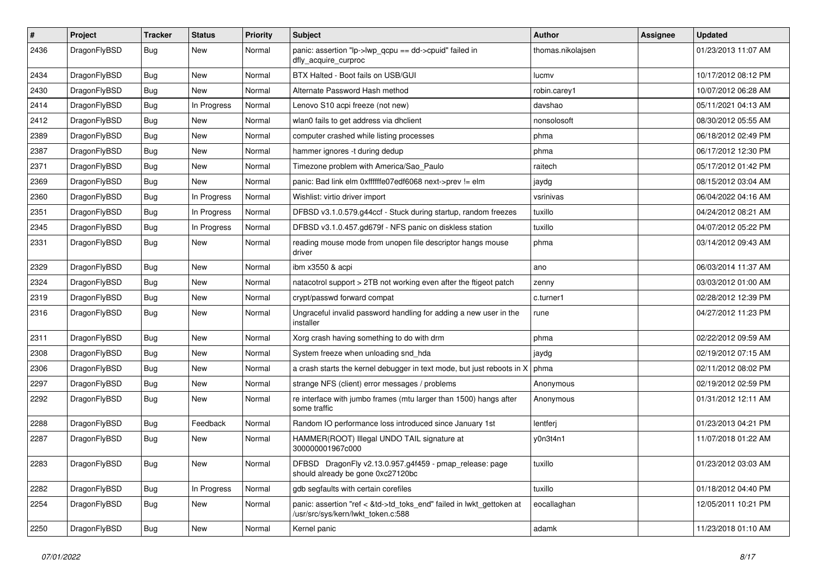| $\sharp$ | Project      | <b>Tracker</b> | <b>Status</b> | <b>Priority</b> | Subject                                                                                                    | <b>Author</b>     | <b>Assignee</b> | <b>Updated</b>      |
|----------|--------------|----------------|---------------|-----------------|------------------------------------------------------------------------------------------------------------|-------------------|-----------------|---------------------|
| 2436     | DragonFlyBSD | Bug            | New           | Normal          | panic: assertion "lp->lwp_qcpu == dd->cpuid" failed in<br>dfly_acquire_curproc                             | thomas.nikolajsen |                 | 01/23/2013 11:07 AM |
| 2434     | DragonFlyBSD | <b>Bug</b>     | New           | Normal          | BTX Halted - Boot fails on USB/GUI                                                                         | lucmv             |                 | 10/17/2012 08:12 PM |
| 2430     | DragonFlyBSD | <b>Bug</b>     | <b>New</b>    | Normal          | Alternate Password Hash method                                                                             | robin.carey1      |                 | 10/07/2012 06:28 AM |
| 2414     | DragonFlyBSD | <b>Bug</b>     | In Progress   | Normal          | Lenovo S10 acpi freeze (not new)                                                                           | davshao           |                 | 05/11/2021 04:13 AM |
| 2412     | DragonFlyBSD | <b>Bug</b>     | <b>New</b>    | Normal          | wlan0 fails to get address via dhclient                                                                    | nonsolosoft       |                 | 08/30/2012 05:55 AM |
| 2389     | DragonFlyBSD | <b>Bug</b>     | <b>New</b>    | Normal          | computer crashed while listing processes                                                                   | phma              |                 | 06/18/2012 02:49 PM |
| 2387     | DragonFlyBSD | <b>Bug</b>     | <b>New</b>    | Normal          | hammer ignores -t during dedup                                                                             | phma              |                 | 06/17/2012 12:30 PM |
| 2371     | DragonFlyBSD | <b>Bug</b>     | New           | Normal          | Timezone problem with America/Sao_Paulo                                                                    | raitech           |                 | 05/17/2012 01:42 PM |
| 2369     | DragonFlyBSD | <b>Bug</b>     | <b>New</b>    | Normal          | panic: Bad link elm 0xffffffe07edf6068 next->prev != elm                                                   | jaydg             |                 | 08/15/2012 03:04 AM |
| 2360     | DragonFlyBSD | <b>Bug</b>     | In Progress   | Normal          | Wishlist: virtio driver import                                                                             | vsrinivas         |                 | 06/04/2022 04:16 AM |
| 2351     | DragonFlyBSD | <b>Bug</b>     | In Progress   | Normal          | DFBSD v3.1.0.579.g44ccf - Stuck during startup, random freezes                                             | tuxillo           |                 | 04/24/2012 08:21 AM |
| 2345     | DragonFlyBSD | Bug            | In Progress   | Normal          | DFBSD v3.1.0.457.gd679f - NFS panic on diskless station                                                    | tuxillo           |                 | 04/07/2012 05:22 PM |
| 2331     | DragonFlyBSD | <b>Bug</b>     | New           | Normal          | reading mouse mode from unopen file descriptor hangs mouse<br>driver                                       | phma              |                 | 03/14/2012 09:43 AM |
| 2329     | DragonFlyBSD | <b>Bug</b>     | <b>New</b>    | Normal          | ibm x3550 & acpi                                                                                           | ano               |                 | 06/03/2014 11:37 AM |
| 2324     | DragonFlyBSD | <b>Bug</b>     | <b>New</b>    | Normal          | natacotrol support > 2TB not working even after the ftigeot patch                                          | zenny             |                 | 03/03/2012 01:00 AM |
| 2319     | DragonFlyBSD | <b>Bug</b>     | <b>New</b>    | Normal          | crypt/passwd forward compat                                                                                | c.turner1         |                 | 02/28/2012 12:39 PM |
| 2316     | DragonFlyBSD | <b>Bug</b>     | New           | Normal          | Ungraceful invalid password handling for adding a new user in the<br>installer                             | rune              |                 | 04/27/2012 11:23 PM |
| 2311     | DragonFlyBSD | <b>Bug</b>     | <b>New</b>    | Normal          | Xorg crash having something to do with drm                                                                 | phma              |                 | 02/22/2012 09:59 AM |
| 2308     | DragonFlyBSD | <b>Bug</b>     | New           | Normal          | System freeze when unloading snd_hda                                                                       | jaydg             |                 | 02/19/2012 07:15 AM |
| 2306     | DragonFlyBSD | <b>Bug</b>     | <b>New</b>    | Normal          | a crash starts the kernel debugger in text mode, but just reboots in X                                     | phma              |                 | 02/11/2012 08:02 PM |
| 2297     | DragonFlyBSD | <b>Bug</b>     | New           | Normal          | strange NFS (client) error messages / problems                                                             | Anonymous         |                 | 02/19/2012 02:59 PM |
| 2292     | DragonFlyBSD | <b>Bug</b>     | New           | Normal          | re interface with jumbo frames (mtu larger than 1500) hangs after<br>some traffic                          | Anonymous         |                 | 01/31/2012 12:11 AM |
| 2288     | DragonFlyBSD | Bug            | Feedback      | Normal          | Random IO performance loss introduced since January 1st                                                    | lentferj          |                 | 01/23/2013 04:21 PM |
| 2287     | DragonFlyBSD | <b>Bug</b>     | New           | Normal          | HAMMER(ROOT) Illegal UNDO TAIL signature at<br>300000001967c000                                            | y0n3t4n1          |                 | 11/07/2018 01:22 AM |
| 2283     | DragonFlyBSD | <b>Bug</b>     | New           | Normal          | DFBSD DragonFly v2.13.0.957.g4f459 - pmap_release: page<br>should already be gone 0xc27120bc               | tuxillo           |                 | 01/23/2012 03:03 AM |
| 2282     | DragonFlyBSD | Bug            | In Progress   | Normal          | gdb segfaults with certain corefiles                                                                       | tuxillo           |                 | 01/18/2012 04:40 PM |
| 2254     | DragonFlyBSD | <b>Bug</b>     | New           | Normal          | panic: assertion "ref < &td->td_toks_end" failed in lwkt_gettoken at<br>/usr/src/sys/kern/lwkt_token.c:588 | eocallaghan       |                 | 12/05/2011 10:21 PM |
| 2250     | DragonFlyBSD | <b>Bug</b>     | New           | Normal          | Kernel panic                                                                                               | adamk             |                 | 11/23/2018 01:10 AM |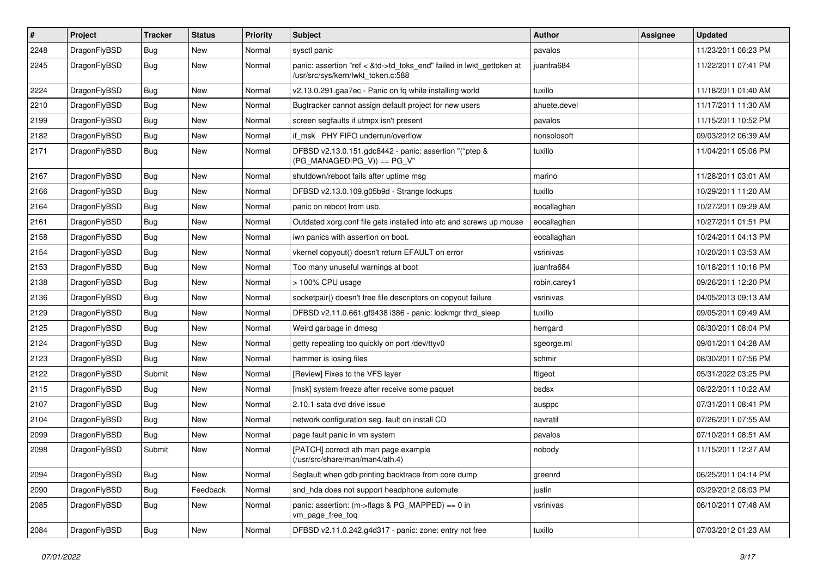| $\sharp$ | Project      | <b>Tracker</b> | <b>Status</b> | <b>Priority</b> | Subject                                                                                                    | <b>Author</b> | <b>Assignee</b> | <b>Updated</b>      |
|----------|--------------|----------------|---------------|-----------------|------------------------------------------------------------------------------------------------------------|---------------|-----------------|---------------------|
| 2248     | DragonFlyBSD | <b>Bug</b>     | <b>New</b>    | Normal          | sysctl panic                                                                                               | pavalos       |                 | 11/23/2011 06:23 PM |
| 2245     | DragonFlyBSD | <b>Bug</b>     | <b>New</b>    | Normal          | panic: assertion "ref < &td->td_toks_end" failed in lwkt_gettoken at<br>/usr/src/sys/kern/lwkt token.c:588 | juanfra684    |                 | 11/22/2011 07:41 PM |
| 2224     | DragonFlyBSD | <b>Bug</b>     | New           | Normal          | v2.13.0.291.gaa7ec - Panic on fq while installing world                                                    | tuxillo       |                 | 11/18/2011 01:40 AM |
| 2210     | DragonFlyBSD | <b>Bug</b>     | New           | Normal          | Bugtracker cannot assign default project for new users                                                     | ahuete.devel  |                 | 11/17/2011 11:30 AM |
| 2199     | DragonFlyBSD | <b>Bug</b>     | New           | Normal          | screen segfaults if utmpx isn't present                                                                    | pavalos       |                 | 11/15/2011 10:52 PM |
| 2182     | DragonFlyBSD | <b>Bug</b>     | <b>New</b>    | Normal          | if msk PHY FIFO underrun/overflow                                                                          | nonsolosoft   |                 | 09/03/2012 06:39 AM |
| 2171     | DragonFlyBSD | <b>Bug</b>     | <b>New</b>    | Normal          | DFBSD v2.13.0.151.gdc8442 - panic: assertion "(*ptep &<br>$(PG_MANAGED PG_V)) == PG_V"$                    | tuxillo       |                 | 11/04/2011 05:06 PM |
| 2167     | DragonFlyBSD | <b>Bug</b>     | <b>New</b>    | Normal          | shutdown/reboot fails after uptime msg                                                                     | marino        |                 | 11/28/2011 03:01 AM |
| 2166     | DragonFlyBSD | <b>Bug</b>     | New           | Normal          | DFBSD v2.13.0.109.g05b9d - Strange lockups                                                                 | tuxillo       |                 | 10/29/2011 11:20 AM |
| 2164     | DragonFlyBSD | <b>Bug</b>     | New           | Normal          | panic on reboot from usb.                                                                                  | eocallaghan   |                 | 10/27/2011 09:29 AM |
| 2161     | DragonFlyBSD | Bug            | New           | Normal          | Outdated xorg.conf file gets installed into etc and screws up mouse                                        | eocallaghan   |                 | 10/27/2011 01:51 PM |
| 2158     | DragonFlyBSD | Bug            | New           | Normal          | iwn panics with assertion on boot.                                                                         | eocallaghan   |                 | 10/24/2011 04:13 PM |
| 2154     | DragonFlyBSD | Bug            | <b>New</b>    | Normal          | vkernel copyout() doesn't return EFAULT on error                                                           | vsrinivas     |                 | 10/20/2011 03:53 AM |
| 2153     | DragonFlyBSD | Bug            | New           | Normal          | Too many unuseful warnings at boot                                                                         | juanfra684    |                 | 10/18/2011 10:16 PM |
| 2138     | DragonFlyBSD | Bug            | New           | Normal          | > 100% CPU usage                                                                                           | robin.carey1  |                 | 09/26/2011 12:20 PM |
| 2136     | DragonFlyBSD | Bug            | <b>New</b>    | Normal          | socketpair() doesn't free file descriptors on copyout failure                                              | vsrinivas     |                 | 04/05/2013 09:13 AM |
| 2129     | DragonFlyBSD | Bug            | <b>New</b>    | Normal          | DFBSD v2.11.0.661.gf9438 i386 - panic: lockmgr thrd_sleep                                                  | tuxillo       |                 | 09/05/2011 09:49 AM |
| 2125     | DragonFlyBSD | Bug            | <b>New</b>    | Normal          | Weird garbage in dmesg                                                                                     | herrgard      |                 | 08/30/2011 08:04 PM |
| 2124     | DragonFlyBSD | Bug            | New           | Normal          | getty repeating too quickly on port /dev/ttyv0                                                             | sgeorge.ml    |                 | 09/01/2011 04:28 AM |
| 2123     | DragonFlyBSD | Bug            | New           | Normal          | hammer is losing files                                                                                     | schmir        |                 | 08/30/2011 07:56 PM |
| 2122     | DragonFlyBSD | Submit         | New           | Normal          | [Review] Fixes to the VFS layer                                                                            | ftigeot       |                 | 05/31/2022 03:25 PM |
| 2115     | DragonFlyBSD | Bug            | New           | Normal          | [msk] system freeze after receive some paquet                                                              | bsdsx         |                 | 08/22/2011 10:22 AM |
| 2107     | DragonFlyBSD | Bug            | <b>New</b>    | Normal          | 2.10.1 sata dvd drive issue                                                                                | ausppc        |                 | 07/31/2011 08:41 PM |
| 2104     | DragonFlyBSD | Bug            | New           | Normal          | network configuration seg. fault on install CD                                                             | navratil      |                 | 07/26/2011 07:55 AM |
| 2099     | DragonFlyBSD | Bug            | New           | Normal          | page fault panic in vm system                                                                              | pavalos       |                 | 07/10/2011 08:51 AM |
| 2098     | DragonFlyBSD | Submit         | <b>New</b>    | Normal          | [PATCH] correct ath man page example<br>(/usr/src/share/man/man4/ath.4)                                    | nobody        |                 | 11/15/2011 12:27 AM |
| 2094     | DragonFlyBSD | Bug            | New           | Normal          | Segfault when gdb printing backtrace from core dump                                                        | greenrd       |                 | 06/25/2011 04:14 PM |
| 2090     | DragonFlyBSD | <b>Bug</b>     | Feedback      | Normal          | snd_hda does not support headphone automute                                                                | justin        |                 | 03/29/2012 08:03 PM |
| 2085     | DragonFlyBSD | <b>Bug</b>     | New           | Normal          | panic: assertion: (m->flags & PG_MAPPED) == 0 in<br>vm_page_free_toq                                       | vsrinivas     |                 | 06/10/2011 07:48 AM |
| 2084     | DragonFlyBSD | <b>Bug</b>     | New           | Normal          | DFBSD v2.11.0.242.g4d317 - panic: zone: entry not free                                                     | tuxillo       |                 | 07/03/2012 01:23 AM |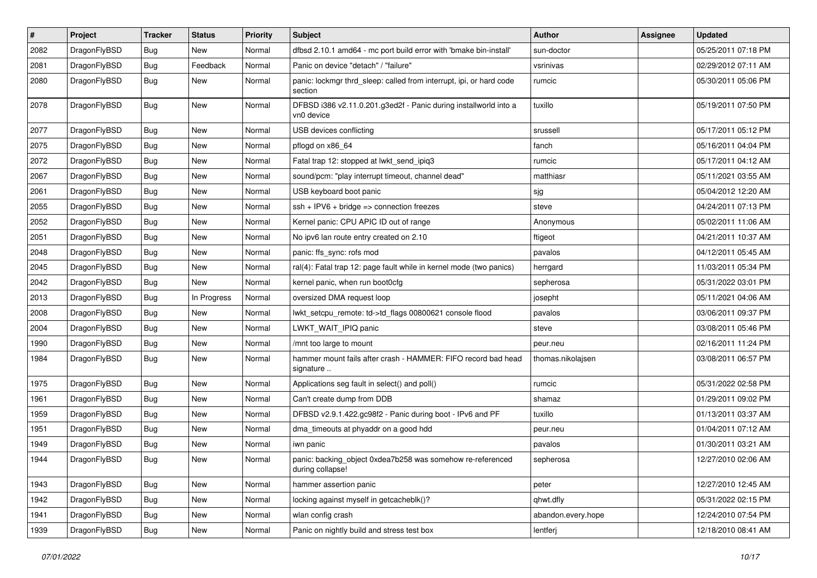| $\pmb{\#}$ | Project      | <b>Tracker</b> | <b>Status</b> | <b>Priority</b> | Subject                                                                        | <b>Author</b>      | <b>Assignee</b> | <b>Updated</b>      |
|------------|--------------|----------------|---------------|-----------------|--------------------------------------------------------------------------------|--------------------|-----------------|---------------------|
| 2082       | DragonFlyBSD | Bug            | New           | Normal          | dfbsd 2.10.1 amd64 - mc port build error with 'bmake bin-install'              | sun-doctor         |                 | 05/25/2011 07:18 PM |
| 2081       | DragonFlyBSD | Bug            | Feedback      | Normal          | Panic on device "detach" / "failure"                                           | vsrinivas          |                 | 02/29/2012 07:11 AM |
| 2080       | DragonFlyBSD | <b>Bug</b>     | New           | Normal          | panic: lockmgr thrd_sleep: called from interrupt, ipi, or hard code<br>section | rumcic             |                 | 05/30/2011 05:06 PM |
| 2078       | DragonFlyBSD | Bug            | <b>New</b>    | Normal          | DFBSD i386 v2.11.0.201.g3ed2f - Panic during installworld into a<br>vn0 device | tuxillo            |                 | 05/19/2011 07:50 PM |
| 2077       | DragonFlyBSD | Bug            | <b>New</b>    | Normal          | USB devices conflicting                                                        | srussell           |                 | 05/17/2011 05:12 PM |
| 2075       | DragonFlyBSD | Bug            | New           | Normal          | pflogd on x86 64                                                               | fanch              |                 | 05/16/2011 04:04 PM |
| 2072       | DragonFlyBSD | Bug            | <b>New</b>    | Normal          | Fatal trap 12: stopped at lwkt_send_ipiq3                                      | rumcic             |                 | 05/17/2011 04:12 AM |
| 2067       | DragonFlyBSD | Bug            | <b>New</b>    | Normal          | sound/pcm: "play interrupt timeout, channel dead"                              | matthiasr          |                 | 05/11/2021 03:55 AM |
| 2061       | DragonFlyBSD | Bug            | New           | Normal          | USB keyboard boot panic                                                        | sjg                |                 | 05/04/2012 12:20 AM |
| 2055       | DragonFlyBSD | Bug            | New           | Normal          | $ssh + IPV6 + bridge \Rightarrow$ connection freezes                           | steve              |                 | 04/24/2011 07:13 PM |
| 2052       | DragonFlyBSD | Bug            | New           | Normal          | Kernel panic: CPU APIC ID out of range                                         | Anonymous          |                 | 05/02/2011 11:06 AM |
| 2051       | DragonFlyBSD | <b>Bug</b>     | New           | Normal          | No ipv6 lan route entry created on 2.10                                        | ftigeot            |                 | 04/21/2011 10:37 AM |
| 2048       | DragonFlyBSD | Bug            | <b>New</b>    | Normal          | panic: ffs_sync: rofs mod                                                      | pavalos            |                 | 04/12/2011 05:45 AM |
| 2045       | DragonFlyBSD | Bug            | <b>New</b>    | Normal          | ral(4): Fatal trap 12: page fault while in kernel mode (two panics)            | herrgard           |                 | 11/03/2011 05:34 PM |
| 2042       | DragonFlyBSD | <b>Bug</b>     | New           | Normal          | kernel panic, when run boot0cfg                                                | sepherosa          |                 | 05/31/2022 03:01 PM |
| 2013       | DragonFlyBSD | Bug            | In Progress   | Normal          | oversized DMA request loop                                                     | josepht            |                 | 05/11/2021 04:06 AM |
| 2008       | DragonFlyBSD | <b>Bug</b>     | New           | Normal          | lwkt_setcpu_remote: td->td_flags 00800621 console flood                        | pavalos            |                 | 03/06/2011 09:37 PM |
| 2004       | DragonFlyBSD | Bug            | <b>New</b>    | Normal          | LWKT_WAIT_IPIQ panic                                                           | steve              |                 | 03/08/2011 05:46 PM |
| 1990       | DragonFlyBSD | Bug            | New           | Normal          | /mnt too large to mount                                                        | peur.neu           |                 | 02/16/2011 11:24 PM |
| 1984       | DragonFlyBSD | Bug            | New           | Normal          | hammer mount fails after crash - HAMMER: FIFO record bad head<br>signature     | thomas.nikolajsen  |                 | 03/08/2011 06:57 PM |
| 1975       | DragonFlyBSD | <b>Bug</b>     | <b>New</b>    | Normal          | Applications seg fault in select() and poll()                                  | rumcic             |                 | 05/31/2022 02:58 PM |
| 1961       | DragonFlyBSD | Bug            | <b>New</b>    | Normal          | Can't create dump from DDB                                                     | shamaz             |                 | 01/29/2011 09:02 PM |
| 1959       | DragonFlyBSD | <b>Bug</b>     | <b>New</b>    | Normal          | DFBSD v2.9.1.422.gc98f2 - Panic during boot - IPv6 and PF                      | tuxillo            |                 | 01/13/2011 03:37 AM |
| 1951       | DragonFlyBSD | <b>Bug</b>     | <b>New</b>    | Normal          | dma_timeouts at phyaddr on a good hdd                                          | peur.neu           |                 | 01/04/2011 07:12 AM |
| 1949       | DragonFlyBSD | <b>Bug</b>     | New           | Normal          | iwn panic                                                                      | pavalos            |                 | 01/30/2011 03:21 AM |
| 1944       | DragonFlyBSD | Bug            | New           | Normal          | panic: backing_object 0xdea7b258 was somehow re-referenced<br>during collapse! | sepherosa          |                 | 12/27/2010 02:06 AM |
| 1943       | DragonFlyBSD | Bug            | New           | Normal          | hammer assertion panic                                                         | peter              |                 | 12/27/2010 12:45 AM |
| 1942       | DragonFlyBSD | <b>Bug</b>     | New           | Normal          | locking against myself in getcacheblk()?                                       | qhwt.dfly          |                 | 05/31/2022 02:15 PM |
| 1941       | DragonFlyBSD | <b>Bug</b>     | New           | Normal          | wlan config crash                                                              | abandon.every.hope |                 | 12/24/2010 07:54 PM |
| 1939       | DragonFlyBSD | <b>Bug</b>     | New           | Normal          | Panic on nightly build and stress test box                                     | lentferj           |                 | 12/18/2010 08:41 AM |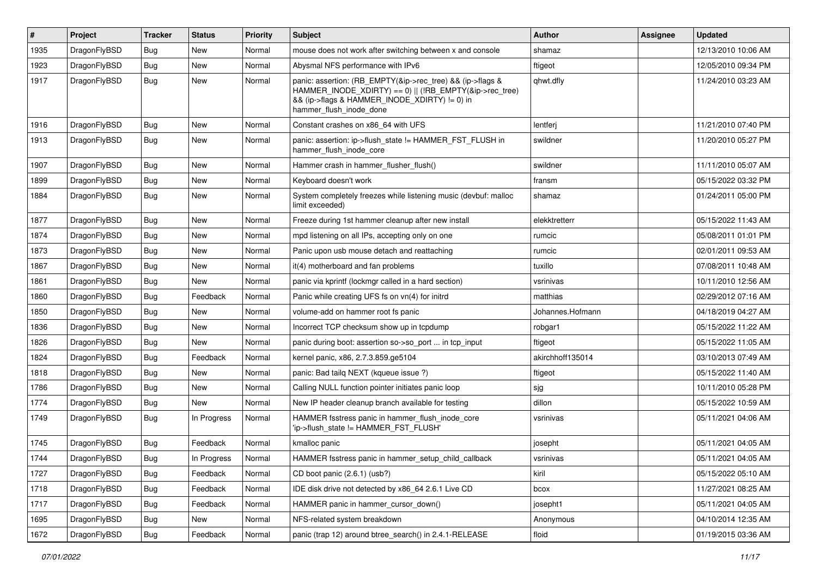| #    | Project      | <b>Tracker</b> | <b>Status</b> | <b>Priority</b> | <b>Subject</b>                                                                                                                                                                                    | <b>Author</b>    | <b>Assignee</b> | <b>Updated</b>      |
|------|--------------|----------------|---------------|-----------------|---------------------------------------------------------------------------------------------------------------------------------------------------------------------------------------------------|------------------|-----------------|---------------------|
| 1935 | DragonFlyBSD | Bug            | <b>New</b>    | Normal          | mouse does not work after switching between x and console                                                                                                                                         | shamaz           |                 | 12/13/2010 10:06 AM |
| 1923 | DragonFlyBSD | Bug            | <b>New</b>    | Normal          | Abysmal NFS performance with IPv6                                                                                                                                                                 | ftigeot          |                 | 12/05/2010 09:34 PM |
| 1917 | DragonFlyBSD | Bug            | New           | Normal          | panic: assertion: (RB_EMPTY(&ip->rec_tree) && (ip->flags &<br>HAMMER INODE XDIRTY) == 0)    (!RB EMPTY(&ip->rec tree)<br>&& (ip->flags & HAMMER_INODE_XDIRTY) != 0) in<br>hammer_flush_inode_done | qhwt.dfly        |                 | 11/24/2010 03:23 AM |
| 1916 | DragonFlyBSD | Bug            | <b>New</b>    | Normal          | Constant crashes on x86_64 with UFS                                                                                                                                                               | lentferj         |                 | 11/21/2010 07:40 PM |
| 1913 | DragonFlyBSD | Bug            | New           | Normal          | panic: assertion: ip->flush_state != HAMMER_FST_FLUSH in<br>hammer_flush_inode_core                                                                                                               | swildner         |                 | 11/20/2010 05:27 PM |
| 1907 | DragonFlyBSD | <b>Bug</b>     | <b>New</b>    | Normal          | Hammer crash in hammer_flusher_flush()                                                                                                                                                            | swildner         |                 | 11/11/2010 05:07 AM |
| 1899 | DragonFlyBSD | <b>Bug</b>     | <b>New</b>    | Normal          | Keyboard doesn't work                                                                                                                                                                             | fransm           |                 | 05/15/2022 03:32 PM |
| 1884 | DragonFlyBSD | Bug            | New           | Normal          | System completely freezes while listening music (devbuf: malloc<br>limit exceeded)                                                                                                                | shamaz           |                 | 01/24/2011 05:00 PM |
| 1877 | DragonFlyBSD | <b>Bug</b>     | <b>New</b>    | Normal          | Freeze during 1st hammer cleanup after new install                                                                                                                                                | elekktretterr    |                 | 05/15/2022 11:43 AM |
| 1874 | DragonFlyBSD | Bug            | <b>New</b>    | Normal          | mpd listening on all IPs, accepting only on one                                                                                                                                                   | rumcic           |                 | 05/08/2011 01:01 PM |
| 1873 | DragonFlyBSD | <b>Bug</b>     | <b>New</b>    | Normal          | Panic upon usb mouse detach and reattaching                                                                                                                                                       | rumcic           |                 | 02/01/2011 09:53 AM |
| 1867 | DragonFlyBSD | Bug            | <b>New</b>    | Normal          | it(4) motherboard and fan problems                                                                                                                                                                | tuxillo          |                 | 07/08/2011 10:48 AM |
| 1861 | DragonFlyBSD | Bug            | New           | Normal          | panic via kprintf (lockmgr called in a hard section)                                                                                                                                              | vsrinivas        |                 | 10/11/2010 12:56 AM |
| 1860 | DragonFlyBSD | <b>Bug</b>     | Feedback      | Normal          | Panic while creating UFS fs on vn(4) for initrd                                                                                                                                                   | matthias         |                 | 02/29/2012 07:16 AM |
| 1850 | DragonFlyBSD | Bug            | <b>New</b>    | Normal          | volume-add on hammer root fs panic                                                                                                                                                                | Johannes.Hofmann |                 | 04/18/2019 04:27 AM |
| 1836 | DragonFlyBSD | Bug            | <b>New</b>    | Normal          | Incorrect TCP checksum show up in tcpdump                                                                                                                                                         | robgar1          |                 | 05/15/2022 11:22 AM |
| 1826 | DragonFlyBSD | <b>Bug</b>     | New           | Normal          | panic during boot: assertion so->so_port  in tcp_input                                                                                                                                            | ftigeot          |                 | 05/15/2022 11:05 AM |
| 1824 | DragonFlyBSD | Bug            | Feedback      | Normal          | kernel panic, x86, 2.7.3.859.ge5104                                                                                                                                                               | akirchhoff135014 |                 | 03/10/2013 07:49 AM |
| 1818 | DragonFlyBSD | <b>Bug</b>     | <b>New</b>    | Normal          | panic: Bad tailq NEXT (kqueue issue ?)                                                                                                                                                            | ftigeot          |                 | 05/15/2022 11:40 AM |
| 1786 | DragonFlyBSD | Bug            | <b>New</b>    | Normal          | Calling NULL function pointer initiates panic loop                                                                                                                                                | sjg              |                 | 10/11/2010 05:28 PM |
| 1774 | DragonFlyBSD | Bug            | <b>New</b>    | Normal          | New IP header cleanup branch available for testing                                                                                                                                                | dillon           |                 | 05/15/2022 10:59 AM |
| 1749 | DragonFlyBSD | <b>Bug</b>     | In Progress   | Normal          | HAMMER fsstress panic in hammer_flush_inode_core<br>'ip->flush_state != HAMMER_FST_FLUSH'                                                                                                         | vsrinivas        |                 | 05/11/2021 04:06 AM |
| 1745 | DragonFlyBSD | <b>Bug</b>     | Feedback      | Normal          | kmalloc panic                                                                                                                                                                                     | josepht          |                 | 05/11/2021 04:05 AM |
| 1744 | DragonFlyBSD | Bug            | In Progress   | Normal          | HAMMER fsstress panic in hammer setup child callback                                                                                                                                              | vsrinivas        |                 | 05/11/2021 04:05 AM |
| 1727 | DragonFlyBSD | Bug            | Feedback      | Normal          | CD boot panic (2.6.1) (usb?)                                                                                                                                                                      | kiril            |                 | 05/15/2022 05:10 AM |
| 1718 | DragonFlyBSD | <b>Bug</b>     | Feedback      | Normal          | IDE disk drive not detected by x86_64 2.6.1 Live CD                                                                                                                                               | bcox             |                 | 11/27/2021 08:25 AM |
| 1717 | DragonFlyBSD | Bug            | Feedback      | Normal          | HAMMER panic in hammer_cursor_down()                                                                                                                                                              | josepht1         |                 | 05/11/2021 04:05 AM |
| 1695 | DragonFlyBSD | <b>Bug</b>     | New           | Normal          | NFS-related system breakdown                                                                                                                                                                      | Anonymous        |                 | 04/10/2014 12:35 AM |
| 1672 | DragonFlyBSD | Bug            | Feedback      | Normal          | panic (trap 12) around btree_search() in 2.4.1-RELEASE                                                                                                                                            | floid            |                 | 01/19/2015 03:36 AM |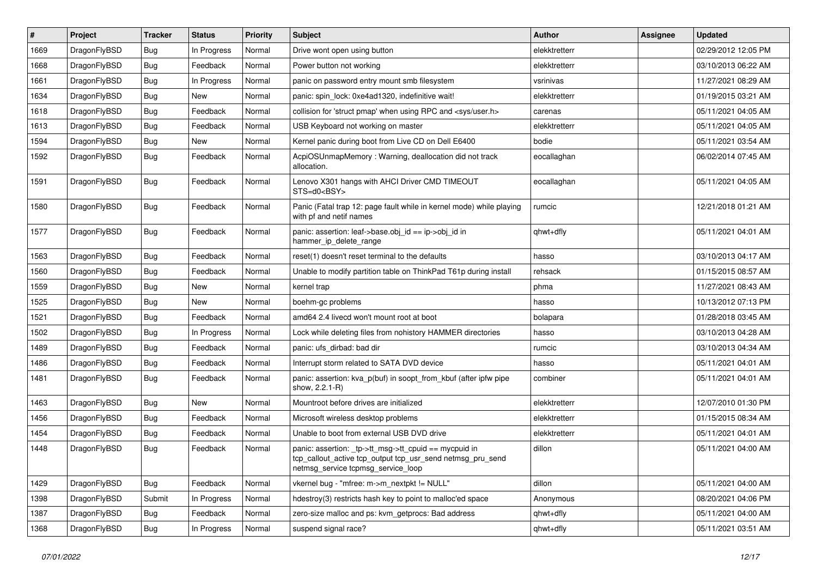| $\vert$ # | Project      | <b>Tracker</b> | <b>Status</b> | <b>Priority</b> | <b>Subject</b>                                                                                                                                            | <b>Author</b> | Assignee | <b>Updated</b>      |
|-----------|--------------|----------------|---------------|-----------------|-----------------------------------------------------------------------------------------------------------------------------------------------------------|---------------|----------|---------------------|
| 1669      | DragonFlyBSD | <b>Bug</b>     | In Progress   | Normal          | Drive wont open using button                                                                                                                              | elekktretterr |          | 02/29/2012 12:05 PM |
| 1668      | DragonFlyBSD | <b>Bug</b>     | Feedback      | Normal          | Power button not working                                                                                                                                  | elekktretterr |          | 03/10/2013 06:22 AM |
| 1661      | DragonFlyBSD | <b>Bug</b>     | In Progress   | Normal          | panic on password entry mount smb filesystem                                                                                                              | vsrinivas     |          | 11/27/2021 08:29 AM |
| 1634      | DragonFlyBSD | Bug            | New           | Normal          | panic: spin lock: 0xe4ad1320, indefinitive wait!                                                                                                          | elekktretterr |          | 01/19/2015 03:21 AM |
| 1618      | DragonFlyBSD | <b>Bug</b>     | Feedback      | Normal          | collision for 'struct pmap' when using RPC and <sys user.h=""></sys>                                                                                      | carenas       |          | 05/11/2021 04:05 AM |
| 1613      | DragonFlyBSD | <b>Bug</b>     | Feedback      | Normal          | USB Keyboard not working on master                                                                                                                        | elekktretterr |          | 05/11/2021 04:05 AM |
| 1594      | DragonFlyBSD | <b>Bug</b>     | <b>New</b>    | Normal          | Kernel panic during boot from Live CD on Dell E6400                                                                                                       | bodie         |          | 05/11/2021 03:54 AM |
| 1592      | DragonFlyBSD | Bug            | Feedback      | Normal          | AcpiOSUnmapMemory: Warning, deallocation did not track<br>allocation.                                                                                     | eocallaghan   |          | 06/02/2014 07:45 AM |
| 1591      | DragonFlyBSD | Bug            | Feedback      | Normal          | Lenovo X301 hangs with AHCI Driver CMD TIMEOUT<br>STS=d0 <bsy></bsy>                                                                                      | eocallaghan   |          | 05/11/2021 04:05 AM |
| 1580      | DragonFlyBSD | <b>Bug</b>     | Feedback      | Normal          | Panic (Fatal trap 12: page fault while in kernel mode) while playing<br>with pf and netif names                                                           | rumcic        |          | 12/21/2018 01:21 AM |
| 1577      | DragonFlyBSD | <b>Bug</b>     | Feedback      | Normal          | panic: assertion: leaf->base.obj_id == ip->obj_id in<br>hammer_ip_delete_range                                                                            | qhwt+dfly     |          | 05/11/2021 04:01 AM |
| 1563      | DragonFlyBSD | <b>Bug</b>     | Feedback      | Normal          | reset(1) doesn't reset terminal to the defaults                                                                                                           | hasso         |          | 03/10/2013 04:17 AM |
| 1560      | DragonFlyBSD | <b>Bug</b>     | Feedback      | Normal          | Unable to modify partition table on ThinkPad T61p during install                                                                                          | rehsack       |          | 01/15/2015 08:57 AM |
| 1559      | DragonFlyBSD | <b>Bug</b>     | <b>New</b>    | Normal          | kernel trap                                                                                                                                               | phma          |          | 11/27/2021 08:43 AM |
| 1525      | DragonFlyBSD | <b>Bug</b>     | <b>New</b>    | Normal          | boehm-gc problems                                                                                                                                         | hasso         |          | 10/13/2012 07:13 PM |
| 1521      | DragonFlyBSD | <b>Bug</b>     | Feedback      | Normal          | amd64 2.4 livecd won't mount root at boot                                                                                                                 | bolapara      |          | 01/28/2018 03:45 AM |
| 1502      | DragonFlyBSD | <b>Bug</b>     | In Progress   | Normal          | Lock while deleting files from nohistory HAMMER directories                                                                                               | hasso         |          | 03/10/2013 04:28 AM |
| 1489      | DragonFlyBSD | <b>Bug</b>     | Feedback      | Normal          | panic: ufs dirbad: bad dir                                                                                                                                | rumcic        |          | 03/10/2013 04:34 AM |
| 1486      | DragonFlyBSD | Bug            | Feedback      | Normal          | Interrupt storm related to SATA DVD device                                                                                                                | hasso         |          | 05/11/2021 04:01 AM |
| 1481      | DragonFlyBSD | Bug            | Feedback      | Normal          | panic: assertion: kva_p(buf) in soopt_from_kbuf (after ipfw pipe<br>show, 2.2.1-R)                                                                        | combiner      |          | 05/11/2021 04:01 AM |
| 1463      | DragonFlyBSD | Bug            | New           | Normal          | Mountroot before drives are initialized                                                                                                                   | elekktretterr |          | 12/07/2010 01:30 PM |
| 1456      | DragonFlyBSD | <b>Bug</b>     | Feedback      | Normal          | Microsoft wireless desktop problems                                                                                                                       | elekktretterr |          | 01/15/2015 08:34 AM |
| 1454      | DragonFlyBSD | <b>Bug</b>     | Feedback      | Normal          | Unable to boot from external USB DVD drive                                                                                                                | elekktretterr |          | 05/11/2021 04:01 AM |
| 1448      | DragonFlyBSD | <b>Bug</b>     | Feedback      | Normal          | panic: assertion: _tp->tt_msg->tt_cpuid == mycpuid in<br>tcp_callout_active tcp_output tcp_usr_send netmsg_pru_send<br>netmsg_service tcpmsg_service_loop | dillon        |          | 05/11/2021 04:00 AM |
| 1429      | DragonFlyBSD | <b>Bug</b>     | Feedback      | Normal          | vkernel bug - "mfree: m->m_nextpkt != NULL"                                                                                                               | dillon        |          | 05/11/2021 04:00 AM |
| 1398      | DragonFlyBSD | Submit         | In Progress   | Normal          | hdestroy(3) restricts hash key to point to malloc'ed space                                                                                                | Anonymous     |          | 08/20/2021 04:06 PM |
| 1387      | DragonFlyBSD | <b>Bug</b>     | Feedback      | Normal          | zero-size malloc and ps: kvm_getprocs: Bad address                                                                                                        | qhwt+dfly     |          | 05/11/2021 04:00 AM |
| 1368      | DragonFlyBSD | <b>Bug</b>     | In Progress   | Normal          | suspend signal race?                                                                                                                                      | qhwt+dfly     |          | 05/11/2021 03:51 AM |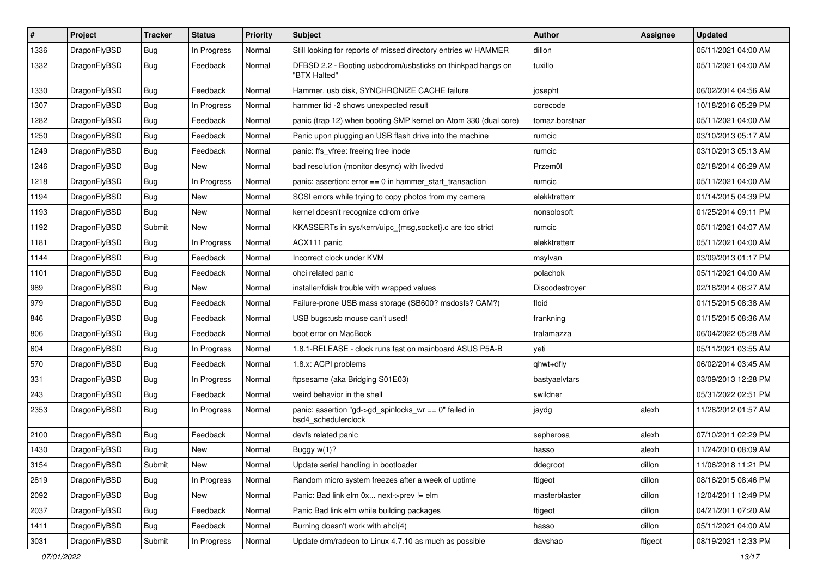| $\sharp$ | Project      | <b>Tracker</b> | <b>Status</b> | <b>Priority</b> | Subject                                                                      | <b>Author</b>  | Assignee | <b>Updated</b>      |
|----------|--------------|----------------|---------------|-----------------|------------------------------------------------------------------------------|----------------|----------|---------------------|
| 1336     | DragonFlyBSD | <b>Bug</b>     | In Progress   | Normal          | Still looking for reports of missed directory entries w/ HAMMER              | dillon         |          | 05/11/2021 04:00 AM |
| 1332     | DragonFlyBSD | <b>Bug</b>     | Feedback      | Normal          | DFBSD 2.2 - Booting usbcdrom/usbsticks on thinkpad hangs on<br>"BTX Halted"  | tuxillo        |          | 05/11/2021 04:00 AM |
| 1330     | DragonFlyBSD | <b>Bug</b>     | Feedback      | Normal          | Hammer, usb disk, SYNCHRONIZE CACHE failure                                  | josepht        |          | 06/02/2014 04:56 AM |
| 1307     | DragonFlyBSD | <b>Bug</b>     | In Progress   | Normal          | hammer tid -2 shows unexpected result                                        | corecode       |          | 10/18/2016 05:29 PM |
| 1282     | DragonFlyBSD | <b>Bug</b>     | Feedback      | Normal          | panic (trap 12) when booting SMP kernel on Atom 330 (dual core)              | tomaz.borstnar |          | 05/11/2021 04:00 AM |
| 1250     | DragonFlyBSD | <b>Bug</b>     | Feedback      | Normal          | Panic upon plugging an USB flash drive into the machine                      | rumcic         |          | 03/10/2013 05:17 AM |
| 1249     | DragonFlyBSD | <b>Bug</b>     | Feedback      | Normal          | panic: ffs vfree: freeing free inode                                         | rumcic         |          | 03/10/2013 05:13 AM |
| 1246     | DragonFlyBSD | <b>Bug</b>     | New           | Normal          | bad resolution (monitor desync) with livedvd                                 | Przem0l        |          | 02/18/2014 06:29 AM |
| 1218     | DragonFlyBSD | <b>Bug</b>     | In Progress   | Normal          | panic: assertion: error == 0 in hammer_start_transaction                     | rumcic         |          | 05/11/2021 04:00 AM |
| 1194     | DragonFlyBSD | <b>Bug</b>     | <b>New</b>    | Normal          | SCSI errors while trying to copy photos from my camera                       | elekktretterr  |          | 01/14/2015 04:39 PM |
| 1193     | DragonFlyBSD | <b>Bug</b>     | New           | Normal          | kernel doesn't recognize cdrom drive                                         | nonsolosoft    |          | 01/25/2014 09:11 PM |
| 1192     | DragonFlyBSD | Submit         | <b>New</b>    | Normal          | KKASSERTs in sys/kern/uipc_{msg,socket}.c are too strict                     | rumcic         |          | 05/11/2021 04:07 AM |
| 1181     | DragonFlyBSD | <b>Bug</b>     | In Progress   | Normal          | ACX111 panic                                                                 | elekktretterr  |          | 05/11/2021 04:00 AM |
| 1144     | DragonFlyBSD | <b>Bug</b>     | Feedback      | Normal          | Incorrect clock under KVM                                                    | msylvan        |          | 03/09/2013 01:17 PM |
| 1101     | DragonFlyBSD | <b>Bug</b>     | Feedback      | Normal          | ohci related panic                                                           | polachok       |          | 05/11/2021 04:00 AM |
| 989      | DragonFlyBSD | <b>Bug</b>     | <b>New</b>    | Normal          | installer/fdisk trouble with wrapped values                                  | Discodestrover |          | 02/18/2014 06:27 AM |
| 979      | DragonFlyBSD | <b>Bug</b>     | Feedback      | Normal          | Failure-prone USB mass storage (SB600? msdosfs? CAM?)                        | floid          |          | 01/15/2015 08:38 AM |
| 846      | DragonFlyBSD | <b>Bug</b>     | Feedback      | Normal          | USB bugs:usb mouse can't used!                                               | frankning      |          | 01/15/2015 08:36 AM |
| 806      | DragonFlyBSD | <b>Bug</b>     | Feedback      | Normal          | boot error on MacBook                                                        | tralamazza     |          | 06/04/2022 05:28 AM |
| 604      | DragonFlyBSD | <b>Bug</b>     | In Progress   | Normal          | 1.8.1-RELEASE - clock runs fast on mainboard ASUS P5A-B                      | yeti           |          | 05/11/2021 03:55 AM |
| 570      | DragonFlyBSD | <b>Bug</b>     | Feedback      | Normal          | 1.8.x: ACPI problems                                                         | qhwt+dfly      |          | 06/02/2014 03:45 AM |
| 331      | DragonFlyBSD | <b>Bug</b>     | In Progress   | Normal          | ftpsesame (aka Bridging S01E03)                                              | bastyaelvtars  |          | 03/09/2013 12:28 PM |
| 243      | DragonFlyBSD | <b>Bug</b>     | Feedback      | Normal          | weird behavior in the shell                                                  | swildner       |          | 05/31/2022 02:51 PM |
| 2353     | DragonFlyBSD | <b>Bug</b>     | In Progress   | Normal          | panic: assertion "gd->gd_spinlocks_wr == 0" failed in<br>bsd4 schedulerclock | jaydg          | alexh    | 11/28/2012 01:57 AM |
| 2100     | DragonFlyBSD | <b>Bug</b>     | Feedback      | Normal          | devfs related panic                                                          | sepherosa      | alexh    | 07/10/2011 02:29 PM |
| 1430     | DragonFlyBSD | <b>Bug</b>     | New           | Normal          | Buggy w(1)?                                                                  | hasso          | alexh    | 11/24/2010 08:09 AM |
| 3154     | DragonFlyBSD | Submit         | New           | Normal          | Update serial handling in bootloader                                         | ddegroot       | dillon   | 11/06/2018 11:21 PM |
| 2819     | DragonFlyBSD | <b>Bug</b>     | In Progress   | Normal          | Random micro system freezes after a week of uptime                           | ftigeot        | dillon   | 08/16/2015 08:46 PM |
| 2092     | DragonFlyBSD | <b>Bug</b>     | New           | Normal          | Panic: Bad link elm 0x next->prev != elm                                     | masterblaster  | dillon   | 12/04/2011 12:49 PM |
| 2037     | DragonFlyBSD | <b>Bug</b>     | Feedback      | Normal          | Panic Bad link elm while building packages                                   | ftigeot        | dillon   | 04/21/2011 07:20 AM |
| 1411     | DragonFlyBSD | <b>Bug</b>     | Feedback      | Normal          | Burning doesn't work with ahci(4)                                            | hasso          | dillon   | 05/11/2021 04:00 AM |
| 3031     | DragonFlyBSD | Submit         | In Progress   | Normal          | Update drm/radeon to Linux 4.7.10 as much as possible                        | davshao        | ftigeot  | 08/19/2021 12:33 PM |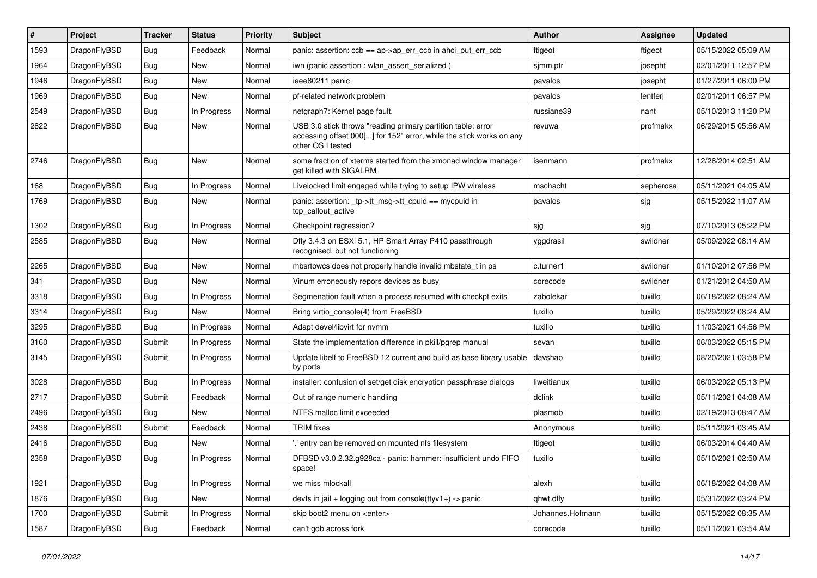| ∦    | Project      | <b>Tracker</b> | <b>Status</b> | <b>Priority</b> | Subject                                                                                                                                                  | <b>Author</b>    | <b>Assignee</b> | <b>Updated</b>      |
|------|--------------|----------------|---------------|-----------------|----------------------------------------------------------------------------------------------------------------------------------------------------------|------------------|-----------------|---------------------|
| 1593 | DragonFlyBSD | <b>Bug</b>     | Feedback      | Normal          | panic: assertion: ccb == ap->ap_err_ccb in ahci_put_err_ccb                                                                                              | ftigeot          | ftigeot         | 05/15/2022 05:09 AM |
| 1964 | DragonFlyBSD | <b>Bug</b>     | New           | Normal          | iwn (panic assertion : wlan assert serialized)                                                                                                           | sjmm.ptr         | josepht         | 02/01/2011 12:57 PM |
| 1946 | DragonFlyBSD | <b>Bug</b>     | New           | Normal          | ieee80211 panic                                                                                                                                          | pavalos          | josepht         | 01/27/2011 06:00 PM |
| 1969 | DragonFlyBSD | <b>Bug</b>     | New           | Normal          | pf-related network problem                                                                                                                               | pavalos          | lentferj        | 02/01/2011 06:57 PM |
| 2549 | DragonFlyBSD | <b>Bug</b>     | In Progress   | Normal          | netgraph7: Kernel page fault.                                                                                                                            | russiane39       | nant            | 05/10/2013 11:20 PM |
| 2822 | DragonFlyBSD | <b>Bug</b>     | New           | Normal          | USB 3.0 stick throws "reading primary partition table: error<br>accessing offset 000[] for 152" error, while the stick works on any<br>other OS I tested | revuwa           | profmakx        | 06/29/2015 05:56 AM |
| 2746 | DragonFlyBSD | <b>Bug</b>     | New           | Normal          | some fraction of xterms started from the xmonad window manager<br>get killed with SIGALRM                                                                | isenmann         | profmakx        | 12/28/2014 02:51 AM |
| 168  | DragonFlyBSD | <b>Bug</b>     | In Progress   | Normal          | Livelocked limit engaged while trying to setup IPW wireless                                                                                              | mschacht         | sepherosa       | 05/11/2021 04:05 AM |
| 1769 | DragonFlyBSD | <b>Bug</b>     | New           | Normal          | panic: assertion: _tp->tt_msg->tt_cpuid == mycpuid in<br>tcp callout active                                                                              | pavalos          | sjg             | 05/15/2022 11:07 AM |
| 1302 | DragonFlyBSD | <b>Bug</b>     | In Progress   | Normal          | Checkpoint regression?                                                                                                                                   | sjg              | sjg             | 07/10/2013 05:22 PM |
| 2585 | DragonFlyBSD | Bug            | New           | Normal          | Dfly 3.4.3 on ESXi 5.1, HP Smart Array P410 passthrough<br>recognised, but not functioning                                                               | yggdrasil        | swildner        | 05/09/2022 08:14 AM |
| 2265 | DragonFlyBSD | <b>Bug</b>     | New           | Normal          | mbsrtowcs does not properly handle invalid mbstate t in ps                                                                                               | c.turner1        | swildner        | 01/10/2012 07:56 PM |
| 341  | DragonFlyBSD | <b>Bug</b>     | <b>New</b>    | Normal          | Vinum erroneously repors devices as busy                                                                                                                 | corecode         | swildner        | 01/21/2012 04:50 AM |
| 3318 | DragonFlyBSD | <b>Bug</b>     | In Progress   | Normal          | Segmenation fault when a process resumed with checkpt exits                                                                                              | zabolekar        | tuxillo         | 06/18/2022 08:24 AM |
| 3314 | DragonFlyBSD | <b>Bug</b>     | New           | Normal          | Bring virtio console(4) from FreeBSD                                                                                                                     | tuxillo          | tuxillo         | 05/29/2022 08:24 AM |
| 3295 | DragonFlyBSD | Bug            | In Progress   | Normal          | Adapt devel/libvirt for nvmm                                                                                                                             | tuxillo          | tuxillo         | 11/03/2021 04:56 PM |
| 3160 | DragonFlyBSD | Submit         | In Progress   | Normal          | State the implementation difference in pkill/pgrep manual                                                                                                | sevan            | tuxillo         | 06/03/2022 05:15 PM |
| 3145 | DragonFlyBSD | Submit         | In Progress   | Normal          | Update libelf to FreeBSD 12 current and build as base library usable<br>by ports                                                                         | davshao          | tuxillo         | 08/20/2021 03:58 PM |
| 3028 | DragonFlyBSD | Bug            | In Progress   | Normal          | installer: confusion of set/get disk encryption passphrase dialogs                                                                                       | liweitianux      | tuxillo         | 06/03/2022 05:13 PM |
| 2717 | DragonFlyBSD | Submit         | Feedback      | Normal          | Out of range numeric handling                                                                                                                            | dclink           | tuxillo         | 05/11/2021 04:08 AM |
| 2496 | DragonFlyBSD | Bug            | <b>New</b>    | Normal          | NTFS malloc limit exceeded                                                                                                                               | plasmob          | tuxillo         | 02/19/2013 08:47 AM |
| 2438 | DragonFlyBSD | Submit         | Feedback      | Normal          | <b>TRIM</b> fixes                                                                                                                                        | Anonymous        | tuxillo         | 05/11/2021 03:45 AM |
| 2416 | DragonFlyBSD | <b>Bug</b>     | <b>New</b>    | Normal          | ".' entry can be removed on mounted nfs filesystem                                                                                                       | ftigeot          | tuxillo         | 06/03/2014 04:40 AM |
| 2358 | DragonFlyBSD | <b>Bug</b>     | In Progress   | Normal          | DFBSD v3.0.2.32.g928ca - panic: hammer: insufficient undo FIFO<br>space!                                                                                 | tuxillo          | tuxillo         | 05/10/2021 02:50 AM |
| 1921 | DragonFlyBSD | Bug            | In Progress   | Normal          | we miss mlockall                                                                                                                                         | alexh            | tuxillo         | 06/18/2022 04:08 AM |
| 1876 | DragonFlyBSD | Bug            | New           | Normal          | devfs in jail + logging out from console(ttyv1+) -> panic                                                                                                | qhwt.dfly        | tuxillo         | 05/31/2022 03:24 PM |
| 1700 | DragonFlyBSD | Submit         | In Progress   | Normal          | skip boot2 menu on <enter></enter>                                                                                                                       | Johannes.Hofmann | tuxillo         | 05/15/2022 08:35 AM |
| 1587 | DragonFlyBSD | Bug            | Feedback      | Normal          | can't gdb across fork                                                                                                                                    | corecode         | tuxillo         | 05/11/2021 03:54 AM |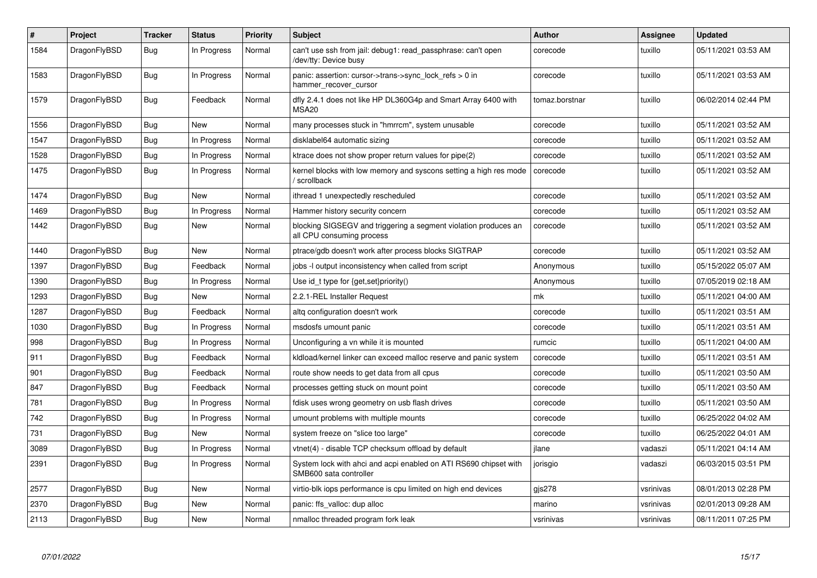| #    | Project      | <b>Tracker</b> | <b>Status</b> | <b>Priority</b> | <b>Subject</b>                                                                               | <b>Author</b>  | Assignee  | <b>Updated</b>      |
|------|--------------|----------------|---------------|-----------------|----------------------------------------------------------------------------------------------|----------------|-----------|---------------------|
| 1584 | DragonFlyBSD | Bug            | In Progress   | Normal          | can't use ssh from jail: debug1: read passphrase: can't open<br>/dev/tty: Device busy        | corecode       | tuxillo   | 05/11/2021 03:53 AM |
| 1583 | DragonFlyBSD | <b>Bug</b>     | In Progress   | Normal          | panic: assertion: cursor->trans->sync lock refs $> 0$ in<br>hammer recover cursor            | corecode       | tuxillo   | 05/11/2021 03:53 AM |
| 1579 | DragonFlyBSD | <b>Bug</b>     | Feedback      | Normal          | dfly 2.4.1 does not like HP DL360G4p and Smart Array 6400 with<br>MSA <sub>20</sub>          | tomaz.borstnar | tuxillo   | 06/02/2014 02:44 PM |
| 1556 | DragonFlyBSD | <b>Bug</b>     | <b>New</b>    | Normal          | many processes stuck in "hmrrcm", system unusable                                            | corecode       | tuxillo   | 05/11/2021 03:52 AM |
| 1547 | DragonFlyBSD | Bug            | In Progress   | Normal          | disklabel64 automatic sizing                                                                 | corecode       | tuxillo   | 05/11/2021 03:52 AM |
| 1528 | DragonFlyBSD | <b>Bug</b>     | In Progress   | Normal          | ktrace does not show proper return values for pipe(2)                                        | corecode       | tuxillo   | 05/11/2021 03:52 AM |
| 1475 | DragonFlyBSD | <b>Bug</b>     | In Progress   | Normal          | kernel blocks with low memory and syscons setting a high res mode<br>/ scrollback            | corecode       | tuxillo   | 05/11/2021 03:52 AM |
| 1474 | DragonFlyBSD | <b>Bug</b>     | <b>New</b>    | Normal          | ithread 1 unexpectedly rescheduled                                                           | corecode       | tuxillo   | 05/11/2021 03:52 AM |
| 1469 | DragonFlyBSD | Bug            | In Progress   | Normal          | Hammer history security concern                                                              | corecode       | tuxillo   | 05/11/2021 03:52 AM |
| 1442 | DragonFlyBSD | <b>Bug</b>     | <b>New</b>    | Normal          | blocking SIGSEGV and triggering a segment violation produces an<br>all CPU consuming process | corecode       | tuxillo   | 05/11/2021 03:52 AM |
| 1440 | DragonFlyBSD | Bug            | <b>New</b>    | Normal          | ptrace/gdb doesn't work after process blocks SIGTRAP                                         | corecode       | tuxillo   | 05/11/2021 03:52 AM |
| 1397 | DragonFlyBSD | <b>Bug</b>     | Feedback      | Normal          | jobs -I output inconsistency when called from script                                         | Anonymous      | tuxillo   | 05/15/2022 05:07 AM |
| 1390 | DragonFlyBSD | Bug            | In Progress   | Normal          | Use id_t type for {get,set}priority()                                                        | Anonymous      | tuxillo   | 07/05/2019 02:18 AM |
| 1293 | DragonFlyBSD | <b>Bug</b>     | New           | Normal          | 2.2.1-REL Installer Request                                                                  | mk             | tuxillo   | 05/11/2021 04:00 AM |
| 1287 | DragonFlyBSD | <b>Bug</b>     | Feedback      | Normal          | altg configuration doesn't work                                                              | corecode       | tuxillo   | 05/11/2021 03:51 AM |
| 1030 | DragonFlyBSD | Bug            | In Progress   | Normal          | msdosfs umount panic                                                                         | corecode       | tuxillo   | 05/11/2021 03:51 AM |
| 998  | DragonFlyBSD | <b>Bug</b>     | In Progress   | Normal          | Unconfiguring a vn while it is mounted                                                       | rumcic         | tuxillo   | 05/11/2021 04:00 AM |
| 911  | DragonFlyBSD | <b>Bug</b>     | Feedback      | Normal          | kidload/kernel linker can exceed malloc reserve and panic system                             | corecode       | tuxillo   | 05/11/2021 03:51 AM |
| 901  | DragonFlyBSD | <b>Bug</b>     | Feedback      | Normal          | route show needs to get data from all cpus                                                   | corecode       | tuxillo   | 05/11/2021 03:50 AM |
| 847  | DragonFlyBSD | <b>Bug</b>     | Feedback      | Normal          | processes getting stuck on mount point                                                       | corecode       | tuxillo   | 05/11/2021 03:50 AM |
| 781  | DragonFlyBSD | Bug            | In Progress   | Normal          | fdisk uses wrong geometry on usb flash drives                                                | corecode       | tuxillo   | 05/11/2021 03:50 AM |
| 742  | DragonFlyBSD | <b>Bug</b>     | In Progress   | Normal          | umount problems with multiple mounts                                                         | corecode       | tuxillo   | 06/25/2022 04:02 AM |
| 731  | DragonFlyBSD | Bug            | New           | Normal          | system freeze on "slice too large"                                                           | corecode       | tuxillo   | 06/25/2022 04:01 AM |
| 3089 | DragonFlyBSD | <b>Bug</b>     | In Progress   | Normal          | vtnet(4) - disable TCP checksum offload by default                                           | jlane          | vadaszi   | 05/11/2021 04:14 AM |
| 2391 | DragonFlyBSD | <b>Bug</b>     | In Progress   | Normal          | System lock with ahci and acpi enabled on ATI RS690 chipset with<br>SMB600 sata controller   | jorisgio       | vadaszi   | 06/03/2015 03:51 PM |
| 2577 | DragonFlyBSD | <b>Bug</b>     | <b>New</b>    | Normal          | virtio-blk iops performance is cpu limited on high end devices                               | $q$ js $278$   | vsrinivas | 08/01/2013 02:28 PM |
| 2370 | DragonFlyBSD | Bug            | New           | Normal          | panic: ffs valloc: dup alloc                                                                 | marino         | vsrinivas | 02/01/2013 09:28 AM |
| 2113 | DragonFlyBSD | Bug            | <b>New</b>    | Normal          | nmalloc threaded program fork leak                                                           | vsrinivas      | vsrinivas | 08/11/2011 07:25 PM |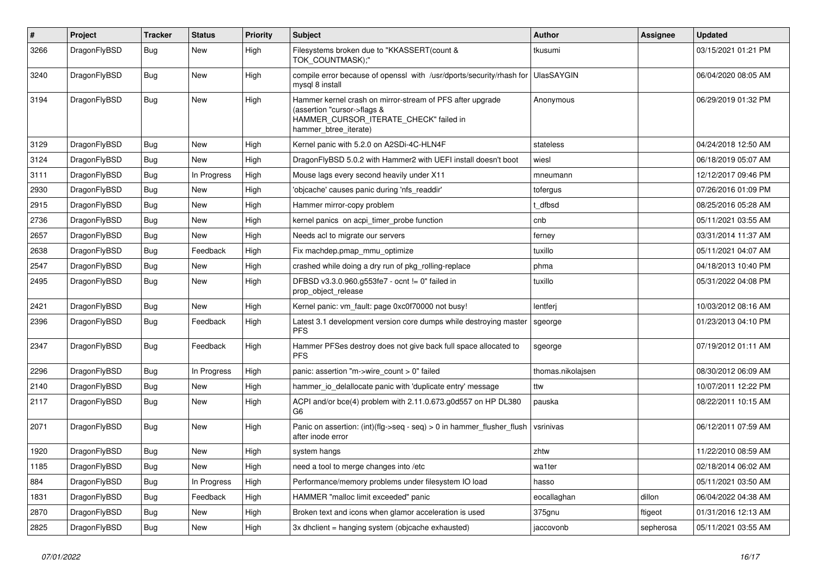| #    | Project      | Tracker    | <b>Status</b> | <b>Priority</b> | <b>Subject</b>                                                                                                                                              | <b>Author</b>     | Assignee  | <b>Updated</b>      |
|------|--------------|------------|---------------|-----------------|-------------------------------------------------------------------------------------------------------------------------------------------------------------|-------------------|-----------|---------------------|
| 3266 | DragonFlyBSD | <b>Bug</b> | New           | High            | Filesystems broken due to "KKASSERT(count &<br>TOK_COUNTMASK);"                                                                                             | tkusumi           |           | 03/15/2021 01:21 PM |
| 3240 | DragonFlyBSD | <b>Bug</b> | <b>New</b>    | High            | compile error because of openssl with /usr/dports/security/rhash for<br>mysgl 8 install                                                                     | <b>UlasSAYGIN</b> |           | 06/04/2020 08:05 AM |
| 3194 | DragonFlyBSD | <b>Bug</b> | New           | High            | Hammer kernel crash on mirror-stream of PFS after upgrade<br>(assertion "cursor->flags &<br>HAMMER_CURSOR_ITERATE_CHECK" failed in<br>hammer btree iterate) | Anonymous         |           | 06/29/2019 01:32 PM |
| 3129 | DragonFlyBSD | <b>Bug</b> | <b>New</b>    | High            | Kernel panic with 5.2.0 on A2SDi-4C-HLN4F                                                                                                                   | stateless         |           | 04/24/2018 12:50 AM |
| 3124 | DragonFlyBSD | <b>Bug</b> | New           | High            | DragonFlyBSD 5.0.2 with Hammer2 with UEFI install doesn't boot                                                                                              | wiesl             |           | 06/18/2019 05:07 AM |
| 3111 | DragonFlyBSD | Bug        | In Progress   | High            | Mouse lags every second heavily under X11                                                                                                                   | mneumann          |           | 12/12/2017 09:46 PM |
| 2930 | DragonFlyBSD | Bug        | <b>New</b>    | High            | 'objcache' causes panic during 'nfs readdir'                                                                                                                | tofergus          |           | 07/26/2016 01:09 PM |
| 2915 | DragonFlyBSD | <b>Bug</b> | <b>New</b>    | High            | Hammer mirror-copy problem                                                                                                                                  | t dfbsd           |           | 08/25/2016 05:28 AM |
| 2736 | DragonFlyBSD | <b>Bug</b> | <b>New</b>    | High            | kernel panics on acpi timer probe function                                                                                                                  | cnb               |           | 05/11/2021 03:55 AM |
| 2657 | DragonFlyBSD | <b>Bug</b> | <b>New</b>    | High            | Needs acl to migrate our servers                                                                                                                            | ferney            |           | 03/31/2014 11:37 AM |
| 2638 | DragonFlyBSD | Bug        | Feedback      | High            | Fix machdep.pmap_mmu_optimize                                                                                                                               | tuxillo           |           | 05/11/2021 04:07 AM |
| 2547 | DragonFlyBSD | Bug        | <b>New</b>    | High            | crashed while doing a dry run of pkg rolling-replace                                                                                                        | phma              |           | 04/18/2013 10:40 PM |
| 2495 | DragonFlyBSD | Bug        | <b>New</b>    | High            | DFBSD v3.3.0.960.g553fe7 - ocnt != 0" failed in<br>prop_object_release                                                                                      | tuxillo           |           | 05/31/2022 04:08 PM |
| 2421 | DragonFlyBSD | <b>Bug</b> | <b>New</b>    | High            | Kernel panic: vm_fault: page 0xc0f70000 not busy!                                                                                                           | lentferj          |           | 10/03/2012 08:16 AM |
| 2396 | DragonFlyBSD | <b>Bug</b> | Feedback      | High            | Latest 3.1 development version core dumps while destroying master<br><b>PFS</b>                                                                             | sgeorge           |           | 01/23/2013 04:10 PM |
| 2347 | DragonFlyBSD | Bug        | Feedback      | High            | Hammer PFSes destroy does not give back full space allocated to<br><b>PFS</b>                                                                               | sgeorge           |           | 07/19/2012 01:11 AM |
| 2296 | DragonFlyBSD | <b>Bug</b> | In Progress   | High            | panic: assertion "m->wire count > 0" failed                                                                                                                 | thomas.nikolajsen |           | 08/30/2012 06:09 AM |
| 2140 | DragonFlyBSD | Bug        | <b>New</b>    | High            | hammer io delallocate panic with 'duplicate entry' message                                                                                                  | ttw               |           | 10/07/2011 12:22 PM |
| 2117 | DragonFlyBSD | <b>Bug</b> | <b>New</b>    | High            | ACPI and/or bce(4) problem with 2.11.0.673.g0d557 on HP DL380<br>G6                                                                                         | pauska            |           | 08/22/2011 10:15 AM |
| 2071 | DragonFlyBSD | Bug        | <b>New</b>    | High            | Panic on assertion: (int)(flg->seq - seq) > 0 in hammer flusher flush<br>after inode error                                                                  | vsrinivas         |           | 06/12/2011 07:59 AM |
| 1920 | DragonFlyBSD | <b>Bug</b> | <b>New</b>    | High            | system hangs                                                                                                                                                | zhtw              |           | 11/22/2010 08:59 AM |
| 1185 | DragonFlyBSD | <b>Bug</b> | <b>New</b>    | High            | need a tool to merge changes into /etc                                                                                                                      | wa1ter            |           | 02/18/2014 06:02 AM |
| 884  | DragonFlyBSD | Bug        | In Progress   | High            | Performance/memory problems under filesystem IO load                                                                                                        | hasso             |           | 05/11/2021 03:50 AM |
| 1831 | DragonFlyBSD | Bug        | Feedback      | High            | HAMMER "malloc limit exceeded" panic                                                                                                                        | eocallaghan       | dillon    | 06/04/2022 04:38 AM |
| 2870 | DragonFlyBSD | <b>Bug</b> | <b>New</b>    | High            | Broken text and icons when glamor acceleration is used                                                                                                      | 375gnu            | ftigeot   | 01/31/2016 12:13 AM |
| 2825 | DragonFlyBSD | <b>Bug</b> | <b>New</b>    | High            | 3x dholient = hanging system (objoache exhausted)                                                                                                           | jaccovonb         | sepherosa | 05/11/2021 03:55 AM |